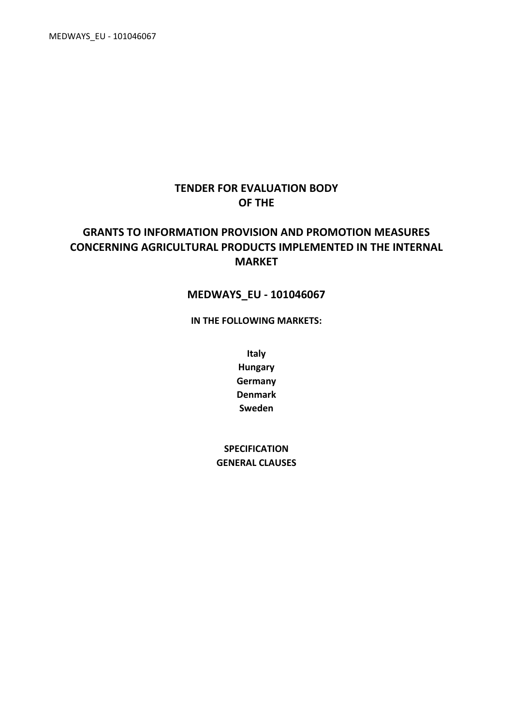MEDWAYS\_EU - 101046067

# **TENDER FOR EVALUATION BODY OF THE**

# **GRANTS TO INFORMATION PROVISION AND PROMOTION MEASURES CONCERNING AGRICULTURAL PRODUCTS IMPLEMENTED IN THE INTERNAL MARKET**

# **MEDWAYS\_EU - 101046067**

**IN THE FOLLOWING MARKETS:**

**Italy Hungary Germany Denmark Sweden**

**SPECIFICATION GENERAL CLAUSES**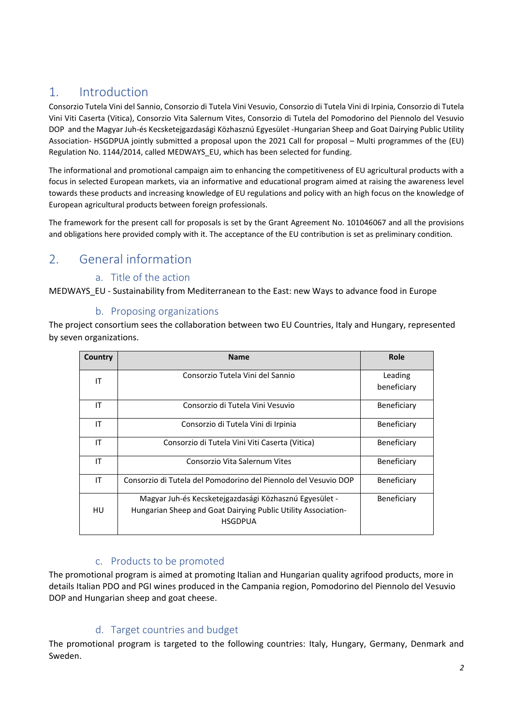# 1. Introduction

Consorzio Tutela Vini del Sannio, Consorzio di Tutela Vini Vesuvio, Consorzio di Tutela Vini di Irpinia, Consorzio di Tutela Vini Viti Caserta (Vitica), Consorzio Vita Salernum Vites, Consorzio di Tutela del Pomodorino del Piennolo del Vesuvio DOP and the Magyar Juh-és Kecsketejgazdasági Közhasznú Egyesület -Hungarian Sheep and Goat Dairying Public Utility Association- HSGDPUA jointly submitted a proposal upon the 2021 Call for proposal – Multi programmes of the (EU) Regulation No. 1144/2014, called MEDWAYS\_EU, which has been selected for funding.

The informational and promotional campaign aim to enhancing the competitiveness of EU agricultural products with a focus in selected European markets, via an informative and educational program aimed at raising the awareness level towards these products and increasing knowledge of EU regulations and policy with an high focus on the knowledge of European agricultural products between foreign professionals.

The framework for the present call for proposals is set by the Grant Agreement No. 101046067 and all the provisions and obligations here provided comply with it. The acceptance of the EU contribution is set as preliminary condition.

# 2. General information

# a. Title of the action

MEDWAYS\_EU - Sustainability from Mediterranean to the East: new Ways to advance food in Europe

# b. Proposing organizations

The project consortium sees the collaboration between two EU Countries, Italy and Hungary, represented by seven organizations.

| Country | <b>Name</b>                                                     | Role               |
|---------|-----------------------------------------------------------------|--------------------|
| ΙT      | Consorzio Tutela Vini del Sannio                                | Leading            |
|         |                                                                 | beneficiary        |
| ΙT      | Consorzio di Tutela Vini Vesuvio                                | Beneficiary        |
| ΙT      | Consorzio di Tutela Vini di Irpinia                             | Beneficiary        |
| ΙT      | Consorzio di Tutela Vini Viti Caserta (Vitica)                  | Beneficiary        |
| ΙT      | Consorzio Vita Salernum Vites                                   | Beneficiary        |
| ΙT      | Consorzio di Tutela del Pomodorino del Piennolo del Vesuvio DOP | Beneficiary        |
|         | Magyar Juh-és Kecsketejgazdasági Közhasznú Egyesület -          | <b>Beneficiary</b> |
| HU      | Hungarian Sheep and Goat Dairying Public Utility Association-   |                    |
|         | <b>HSGDPUA</b>                                                  |                    |

# c. Products to be promoted

The promotional program is aimed at promoting Italian and Hungarian quality agrifood products, more in details Italian PDO and PGI wines produced in the Campania region, Pomodorino del Piennolo del Vesuvio DOP and Hungarian sheep and goat cheese.

# d. Target countries and budget

The promotional program is targeted to the following countries: Italy, Hungary, Germany, Denmark and Sweden.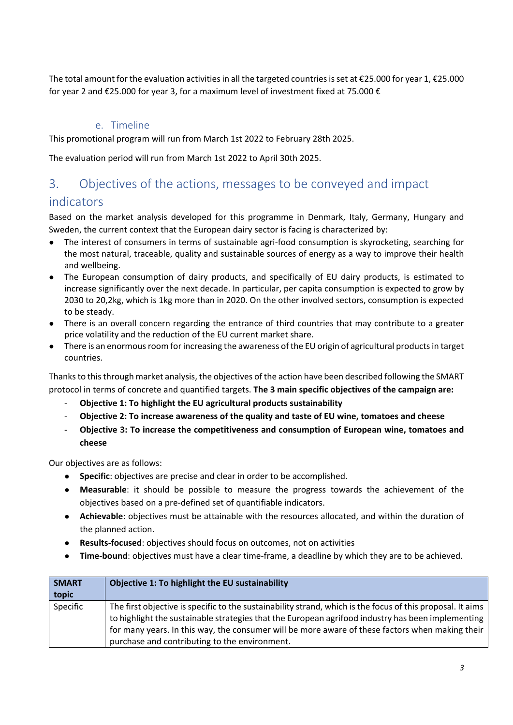The total amount for the evaluation activities in all the targeted countries is set at €25.000 for year 1, €25.000 for year 2 and €25.000 for year 3, for a maximum level of investment fixed at 75.000 €

# e. Timeline

This promotional program will run from March 1st 2022 to February 28th 2025.

The evaluation period will run from March 1st 2022 to April 30th 2025.

# 3. Objectives of the actions, messages to be conveyed and impact

# indicators

Based on the market analysis developed for this programme in Denmark, Italy, Germany, Hungary and Sweden, the current context that the European dairy sector is facing is characterized by:

- The interest of consumers in terms of sustainable agri-food consumption is skyrocketing, searching for the most natural, traceable, quality and sustainable sources of energy as a way to improve their health and wellbeing.
- The European consumption of dairy products, and specifically of EU dairy products, is estimated to increase significantly over the next decade. In particular, per capita consumption is expected to grow by 2030 to 20,2kg, which is 1kg more than in 2020. On the other involved sectors, consumption is expected to be steady.
- There is an overall concern regarding the entrance of third countries that may contribute to a greater price volatility and the reduction of the EU current market share.
- There is an enormous room for increasing the awareness of the EU origin of agricultural products in target countries.

Thanksto thisthrough market analysis, the objectives of the action have been described following the SMART protocol in terms of concrete and quantified targets. **The 3 main specific objectives of the campaign are:**

- **Objective 1: To highlight the EU agricultural products sustainability**
- **Objective 2: To increase awareness of the quality and taste of EU wine, tomatoes and cheese**
- **Objective 3: To increase the competitiveness and consumption of European wine, tomatoes and cheese**

Our objectives are as follows:

- **Specific**: objectives are precise and clear in order to be accomplished.
- **Measurable**: it should be possible to measure the progress towards the achievement of the objectives based on a pre-defined set of quantifiable indicators.
- **Achievable**: objectives must be attainable with the resources allocated, and within the duration of the planned action.
- **Results-focused**: objectives should focus on outcomes, not on activities
- **Time-bound**: objectives must have a clear time-frame, a deadline by which they are to be achieved.

| <b>SMART</b><br>topic | Objective 1: To highlight the EU sustainability                                                            |
|-----------------------|------------------------------------------------------------------------------------------------------------|
| Specific              | The first objective is specific to the sustainability strand, which is the focus of this proposal. It aims |
|                       | to highlight the sustainable strategies that the European agrifood industry has been implementing          |
|                       | for many years. In this way, the consumer will be more aware of these factors when making their            |
|                       | purchase and contributing to the environment.                                                              |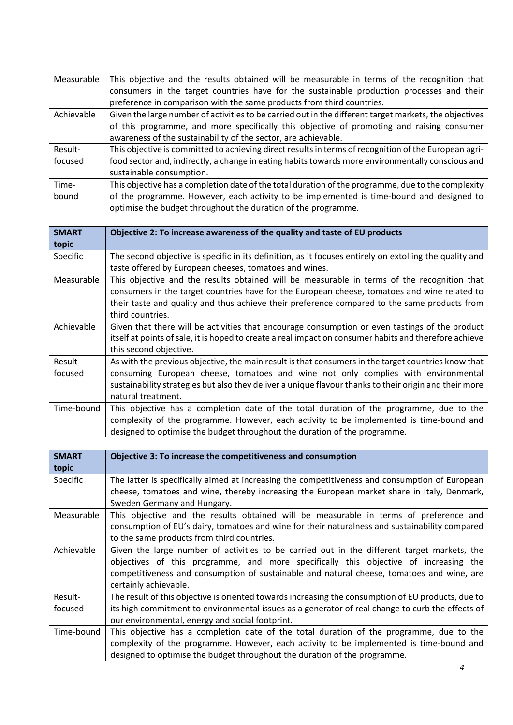| Measurable | This objective and the results obtained will be measurable in terms of the recognition that            |
|------------|--------------------------------------------------------------------------------------------------------|
|            | consumers in the target countries have for the sustainable production processes and their              |
|            | preference in comparison with the same products from third countries.                                  |
| Achievable | Given the large number of activities to be carried out in the different target markets, the objectives |
|            | of this programme, and more specifically this objective of promoting and raising consumer              |
|            | awareness of the sustainability of the sector, are achievable.                                         |
| Result-    | This objective is committed to achieving direct results in terms of recognition of the European agri-  |
| focused    | food sector and, indirectly, a change in eating habits towards more environmentally conscious and      |
|            | sustainable consumption.                                                                               |
| Time-      | This objective has a completion date of the total duration of the programme, due to the complexity     |
| bound      | of the programme. However, each activity to be implemented is time-bound and designed to               |
|            | optimise the budget throughout the duration of the programme.                                          |

| <b>SMART</b>       | Objective 2: To increase awareness of the quality and taste of EU products                                                                                                                                                                                                                                               |
|--------------------|--------------------------------------------------------------------------------------------------------------------------------------------------------------------------------------------------------------------------------------------------------------------------------------------------------------------------|
| topic              |                                                                                                                                                                                                                                                                                                                          |
| Specific           | The second objective is specific in its definition, as it focuses entirely on extolling the quality and<br>taste offered by European cheeses, tomatoes and wines.                                                                                                                                                        |
| Measurable         | This objective and the results obtained will be measurable in terms of the recognition that<br>consumers in the target countries have for the European cheese, tomatoes and wine related to<br>their taste and quality and thus achieve their preference compared to the same products from<br>third countries.          |
| Achievable         | Given that there will be activities that encourage consumption or even tastings of the product<br>itself at points of sale, it is hoped to create a real impact on consumer habits and therefore achieve<br>this second objective.                                                                                       |
| Result-<br>focused | As with the previous objective, the main result is that consumers in the target countries know that<br>consuming European cheese, tomatoes and wine not only complies with environmental<br>sustainability strategies but also they deliver a unique flavour thanks to their origin and their more<br>natural treatment. |
| Time-bound         | This objective has a completion date of the total duration of the programme, due to the<br>complexity of the programme. However, each activity to be implemented is time-bound and<br>designed to optimise the budget throughout the duration of the programme.                                                          |

| <b>SMART</b> | Objective 3: To increase the competitiveness and consumption                                       |
|--------------|----------------------------------------------------------------------------------------------------|
| topic        |                                                                                                    |
| Specific     | The latter is specifically aimed at increasing the competitiveness and consumption of European     |
|              | cheese, tomatoes and wine, thereby increasing the European market share in Italy, Denmark,         |
|              | Sweden Germany and Hungary.                                                                        |
| Measurable   | This objective and the results obtained will be measurable in terms of preference and              |
|              | consumption of EU's dairy, tomatoes and wine for their naturalness and sustainability compared     |
|              | to the same products from third countries.                                                         |
| Achievable   | Given the large number of activities to be carried out in the different target markets, the        |
|              | objectives of this programme, and more specifically this objective of increasing the               |
|              | competitiveness and consumption of sustainable and natural cheese, tomatoes and wine, are          |
|              | certainly achievable.                                                                              |
| Result-      | The result of this objective is oriented towards increasing the consumption of EU products, due to |
| focused      | its high commitment to environmental issues as a generator of real change to curb the effects of   |
|              | our environmental, energy and social footprint.                                                    |
| Time-bound   | This objective has a completion date of the total duration of the programme, due to the            |
|              | complexity of the programme. However, each activity to be implemented is time-bound and            |
|              | designed to optimise the budget throughout the duration of the programme.                          |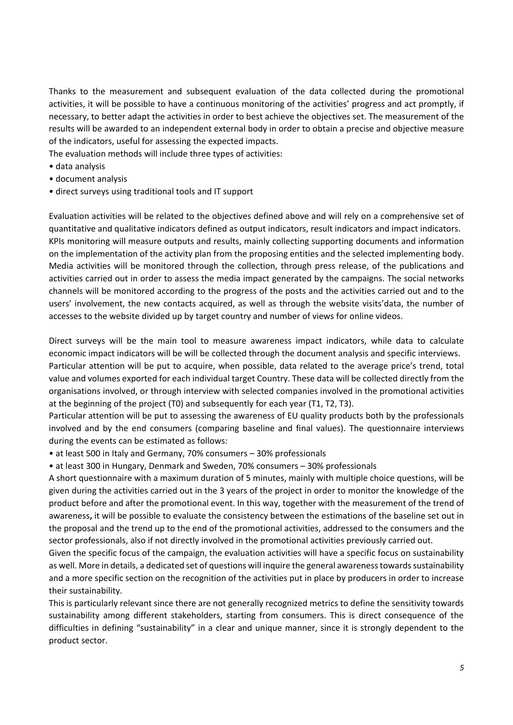Thanks to the measurement and subsequent evaluation of the data collected during the promotional activities, it will be possible to have a continuous monitoring of the activities' progress and act promptly, if necessary, to better adapt the activities in order to best achieve the objectives set. The measurement of the results will be awarded to an independent external body in order to obtain a precise and objective measure of the indicators, useful for assessing the expected impacts.

The evaluation methods will include three types of activities:

- data analysis
- document analysis
- direct surveys using traditional tools and IT support

Evaluation activities will be related to the objectives defined above and will rely on a comprehensive set of quantitative and qualitative indicators defined as output indicators, result indicators and impact indicators. KPIs monitoring will measure outputs and results, mainly collecting supporting documents and information on the implementation of the activity plan from the proposing entities and the selected implementing body. Media activities will be monitored through the collection, through press release, of the publications and activities carried out in order to assess the media impact generated by the campaigns. The social networks channels will be monitored according to the progress of the posts and the activities carried out and to the users' involvement, the new contacts acquired, as well as through the website visits'data, the number of accesses to the website divided up by target country and number of views for online videos.

Direct surveys will be the main tool to measure awareness impact indicators, while data to calculate economic impact indicators will be will be collected through the document analysis and specific interviews. Particular attention will be put to acquire, when possible, data related to the average price's trend, total value and volumes exported for each individual target Country. These data will be collected directly from the organisations involved, or through interview with selected companies involved in the promotional activities at the beginning of the project (T0) and subsequently for each year (T1, T2, T3).

Particular attention will be put to assessing the awareness of EU quality products both by the professionals involved and by the end consumers (comparing baseline and final values). The questionnaire interviews during the events can be estimated as follows:

• at least 500 in Italy and Germany, 70% consumers – 30% professionals

• at least 300 in Hungary, Denmark and Sweden, 70% consumers – 30% professionals

A short questionnaire with a maximum duration of 5 minutes, mainly with multiple choice questions, will be given during the activities carried out in the 3 years of the project in order to monitor the knowledge of the product before and after the promotional event. In this way, together with the measurement of the trend of awareness**,** it will be possible to evaluate the consistency between the estimations of the baseline set out in the proposal and the trend up to the end of the promotional activities, addressed to the consumers and the sector professionals, also if not directly involved in the promotional activities previously carried out.

Given the specific focus of the campaign, the evaluation activities will have a specific focus on sustainability as well. More in details, a dedicated set of questions will inquire the general awareness towards sustainability and a more specific section on the recognition of the activities put in place by producers in order to increase their sustainability.

This is particularly relevant since there are not generally recognized metrics to define the sensitivity towards sustainability among different stakeholders, starting from consumers. This is direct consequence of the difficulties in defining "sustainability" in a clear and unique manner, since it is strongly dependent to the product sector.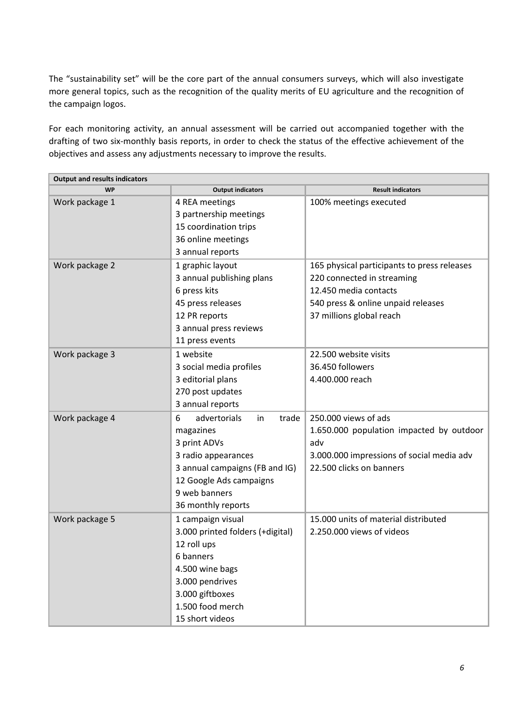The "sustainability set" will be the core part of the annual consumers surveys, which will also investigate more general topics, such as the recognition of the quality merits of EU agriculture and the recognition of the campaign logos.

For each monitoring activity, an annual assessment will be carried out accompanied together with the drafting of two six-monthly basis reports, in order to check the status of the effective achievement of the objectives and assess any adjustments necessary to improve the results.

| <b>Output and results indicators</b> |                                  |                                             |
|--------------------------------------|----------------------------------|---------------------------------------------|
| <b>WP</b>                            | <b>Output indicators</b>         | <b>Result indicators</b>                    |
| Work package 1                       | 4 REA meetings                   | 100% meetings executed                      |
|                                      | 3 partnership meetings           |                                             |
|                                      | 15 coordination trips            |                                             |
|                                      | 36 online meetings               |                                             |
|                                      | 3 annual reports                 |                                             |
| Work package 2                       | 1 graphic layout                 | 165 physical participants to press releases |
|                                      | 3 annual publishing plans        | 220 connected in streaming                  |
|                                      | 6 press kits                     | 12.450 media contacts                       |
|                                      | 45 press releases                | 540 press & online unpaid releases          |
|                                      | 12 PR reports                    | 37 millions global reach                    |
|                                      | 3 annual press reviews           |                                             |
|                                      | 11 press events                  |                                             |
| Work package 3                       | 1 website                        | 22.500 website visits                       |
|                                      | 3 social media profiles          | 36.450 followers                            |
|                                      | 3 editorial plans                | 4.400.000 reach                             |
|                                      | 270 post updates                 |                                             |
|                                      | 3 annual reports                 |                                             |
| Work package 4                       | advertorials<br>trade<br>6<br>in | 250.000 views of ads                        |
|                                      | magazines                        | 1.650.000 population impacted by outdoor    |
|                                      | 3 print ADVs                     | adv                                         |
|                                      | 3 radio appearances              | 3.000.000 impressions of social media adv   |
|                                      | 3 annual campaigns (FB and IG)   | 22.500 clicks on banners                    |
|                                      | 12 Google Ads campaigns          |                                             |
|                                      | 9 web banners                    |                                             |
|                                      | 36 monthly reports               |                                             |
| Work package 5                       | 1 campaign visual                | 15.000 units of material distributed        |
|                                      | 3.000 printed folders (+digital) | 2.250.000 views of videos                   |
|                                      | 12 roll ups                      |                                             |
|                                      | 6 banners                        |                                             |
|                                      | 4.500 wine bags                  |                                             |
|                                      | 3.000 pendrives                  |                                             |
|                                      | 3.000 giftboxes                  |                                             |
|                                      | 1.500 food merch                 |                                             |
|                                      | 15 short videos                  |                                             |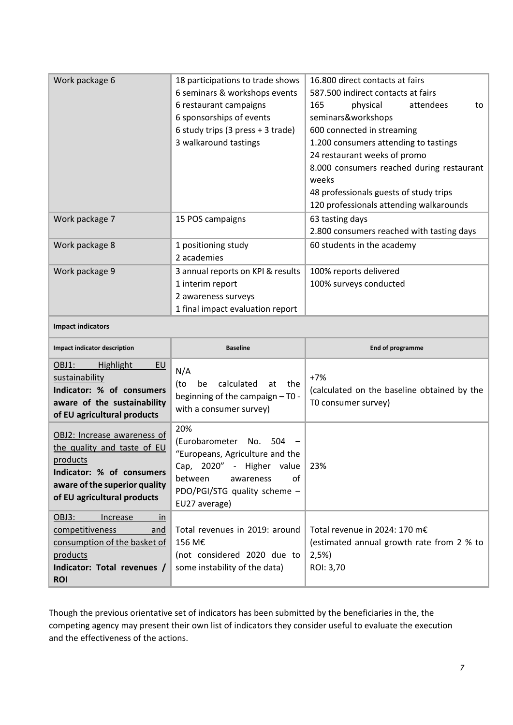| Work package 6                                                                                                                                                      | 18 participations to trade shows<br>6 seminars & workshops events<br>6 restaurant campaigns<br>6 sponsorships of events<br>6 study trips (3 press + 3 trade)<br>3 walkaround tastings | 16.800 direct contacts at fairs<br>587.500 indirect contacts at fairs<br>165<br>physical<br>attendees<br>to<br>seminars&workshops<br>600 connected in streaming<br>1.200 consumers attending to tastings<br>24 restaurant weeks of promo<br>8.000 consumers reached during restaurant<br>weeks<br>48 professionals guests of study trips<br>120 professionals attending walkarounds |
|---------------------------------------------------------------------------------------------------------------------------------------------------------------------|---------------------------------------------------------------------------------------------------------------------------------------------------------------------------------------|-------------------------------------------------------------------------------------------------------------------------------------------------------------------------------------------------------------------------------------------------------------------------------------------------------------------------------------------------------------------------------------|
| Work package 7                                                                                                                                                      | 15 POS campaigns                                                                                                                                                                      | 63 tasting days<br>2.800 consumers reached with tasting days                                                                                                                                                                                                                                                                                                                        |
| Work package 8                                                                                                                                                      | 1 positioning study<br>2 academies                                                                                                                                                    | 60 students in the academy                                                                                                                                                                                                                                                                                                                                                          |
| Work package 9                                                                                                                                                      | 3 annual reports on KPI & results<br>1 interim report<br>2 awareness surveys<br>1 final impact evaluation report                                                                      | 100% reports delivered<br>100% surveys conducted                                                                                                                                                                                                                                                                                                                                    |
| <b>Impact indicators</b>                                                                                                                                            |                                                                                                                                                                                       |                                                                                                                                                                                                                                                                                                                                                                                     |
|                                                                                                                                                                     |                                                                                                                                                                                       |                                                                                                                                                                                                                                                                                                                                                                                     |
| Impact indicator description                                                                                                                                        | <b>Baseline</b>                                                                                                                                                                       | End of programme                                                                                                                                                                                                                                                                                                                                                                    |
| OBJ1:<br>Highlight<br>EU<br>sustainability<br>Indicator: % of consumers<br>aware of the sustainability<br>of EU agricultural products                               | N/A<br>calculated<br>(to<br>be<br>at<br>the<br>beginning of the campaign - T0 -<br>with a consumer survey)                                                                            | $+7%$<br>(calculated on the baseline obtained by the<br>T0 consumer survey)                                                                                                                                                                                                                                                                                                         |
| OBJ2: Increase awareness of<br>the quality and taste of EU<br>products<br>Indicator: % of consumers<br>aware of the superior quality<br>of EU agricultural products | 20%<br>(Eurobarometer<br>No.<br>504<br>"Europeans, Agriculture and the<br>Cap, 2020" - Higher value<br>between<br>οf<br>awareness<br>PDO/PGI/STG quality scheme -<br>EU27 average)    | 23%                                                                                                                                                                                                                                                                                                                                                                                 |

Though the previous orientative set of indicators has been submitted by the beneficiaries in the, the competing agency may present their own list of indicators they consider useful to evaluate the execution and the effectiveness of the actions.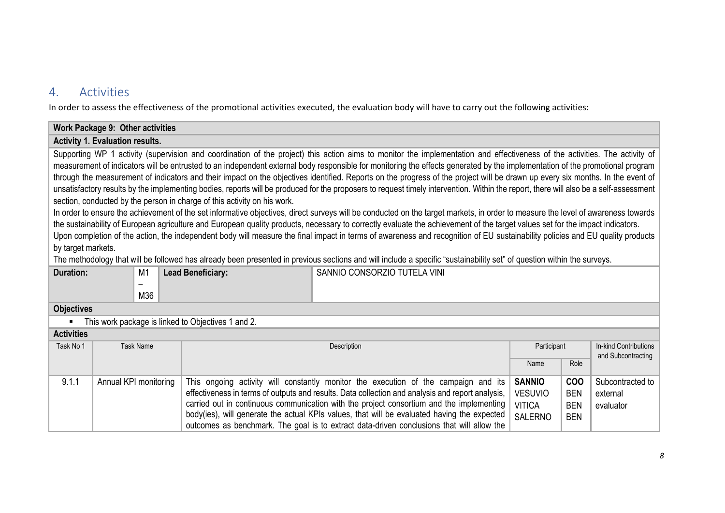# 4. Activities

In order to assess the effectiveness of the promotional activities executed, the evaluation body will have to carry out the following activities:

## **Work Package 9: Other activities Activity 1. Evaluation results.**  Supporting WP 1 activity (supervision and coordination of the project) this action aims to monitor the implementation and effectiveness of the activities. The activity of measurement of indicators will be entrusted to an independent external body responsible for monitoring the effects generated by the implementation of the promotional program through the measurement of indicators and their impact on the objectives identified. Reports on the progress of the project will be drawn up every six months. In the event of unsatisfactory results by the implementing bodies, reports will be produced for the proposers to request timely intervention. Within the report, there will also be a self-assessment section, conducted by the person in charge of this activity on his work. In order to ensure the achievement of the set informative objectives, direct surveys will be conducted on the target markets, in order to measure the level of awareness towards the sustainability of European agriculture and European quality products, necessary to correctly evaluate the achievement of the target values set for the impact indicators. Upon completion of the action, the independent body will measure the final impact in terms of awareness and recognition of EU sustainability policies and EU quality products by target markets. The methodology that will be followed has already been presented in previous sections and will include a specific "sustainability set" of question within the surveys. **Duration:** M1 – M36 **Lead Beneficiary:** SANNIO CONSORZIO TUTELA VINI **Objectives** ■ This work package is linked to Objectives 1 and 2.

| <b>Activities</b> |                       |                                                                                                  |                |            |                       |
|-------------------|-----------------------|--------------------------------------------------------------------------------------------------|----------------|------------|-----------------------|
| Task No 1         | Task Name             | Description                                                                                      | Participant    |            | In-kind Contributions |
|                   |                       |                                                                                                  |                |            | and Subcontracting    |
|                   |                       |                                                                                                  | Name           | Role       |                       |
|                   |                       |                                                                                                  |                |            |                       |
| 9.1.1             | Annual KPI monitoring | This ongoing activity will constantly monitor the execution of the campaign and its              | <b>SANNIO</b>  | <b>COO</b> | Subcontracted to      |
|                   |                       | effectiveness in terms of outputs and results. Data collection and analysis and report analysis, | <b>VESUVIO</b> | <b>BEN</b> | external              |
|                   |                       | carried out in continuous communication with the project consortium and the implementing         | <b>VITICA</b>  | <b>BEN</b> | evaluator             |
|                   |                       | body(ies), will generate the actual KPIs values, that will be evaluated having the expected      | <b>SALERNO</b> | <b>BEN</b> |                       |
|                   |                       | outcomes as benchmark. The goal is to extract data-driven conclusions that will allow the        |                |            |                       |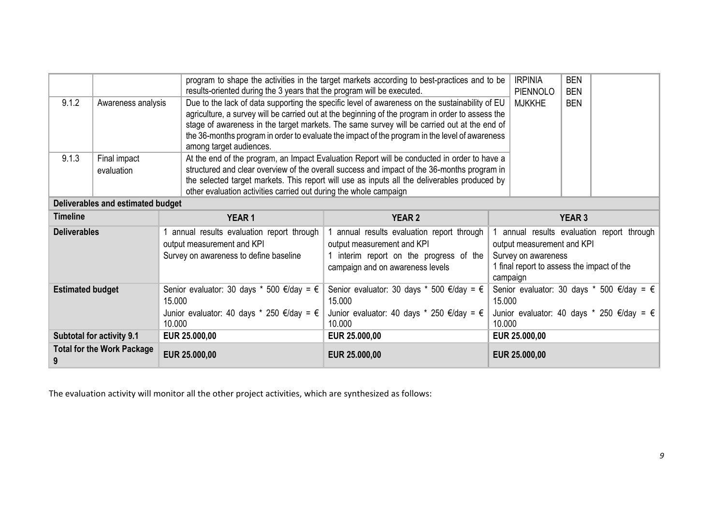|                                                        |                                   | results-oriented during the 3 years that the program will be executed.                                                                 | program to shape the activities in the target markets according to best-practices and to be                                                                                                                                                                                                                                                                                                         | <b>IRPINIA</b><br>PIENNOLO                                    | <b>BEN</b><br><b>BEN</b>                                                                                                     |
|--------------------------------------------------------|-----------------------------------|----------------------------------------------------------------------------------------------------------------------------------------|-----------------------------------------------------------------------------------------------------------------------------------------------------------------------------------------------------------------------------------------------------------------------------------------------------------------------------------------------------------------------------------------------------|---------------------------------------------------------------|------------------------------------------------------------------------------------------------------------------------------|
| 9.1.2<br>Awareness analysis<br>among target audiences. |                                   |                                                                                                                                        | Due to the lack of data supporting the specific level of awareness on the sustainability of EU<br>agriculture, a survey will be carried out at the beginning of the program in order to assess the<br>stage of awareness in the target markets. The same survey will be carried out at the end of<br>the 36-months program in order to evaluate the impact of the program in the level of awareness | <b>MJKKHE</b>                                                 | <b>BEN</b>                                                                                                                   |
| 9.1.3                                                  | Final impact<br>evaluation        | other evaluation activities carried out during the whole campaign                                                                      | At the end of the program, an Impact Evaluation Report will be conducted in order to have a<br>structured and clear overview of the overall success and impact of the 36-months program in<br>the selected target markets. This report will use as inputs all the deliverables produced by                                                                                                          |                                                               |                                                                                                                              |
|                                                        | Deliverables and estimated budget |                                                                                                                                        |                                                                                                                                                                                                                                                                                                                                                                                                     |                                                               |                                                                                                                              |
| <b>Timeline</b>                                        |                                   | <b>YEAR1</b>                                                                                                                           | <b>YEAR 2</b>                                                                                                                                                                                                                                                                                                                                                                                       |                                                               | <b>YEAR 3</b>                                                                                                                |
| <b>Deliverables</b>                                    |                                   | annual results evaluation report through<br>output measurement and KPI<br>Survey on awareness to define baseline                       | annual results evaluation report through<br>output measurement and KPI<br>1 interim report on the progress of the<br>campaign and on awareness levels                                                                                                                                                                                                                                               | output measurement and KPI<br>Survey on awareness<br>campaign | annual results evaluation report through<br>1 final report to assess the impact of the                                       |
| <b>Estimated budget</b>                                |                                   | Senior evaluator: 30 days * 500 €/day = $\epsilon$<br>15.000<br>Junior evaluator: 40 days * 250 $\epsilon$ /day = $\epsilon$<br>10.000 | Senior evaluator: 30 days $*$ 500 €/day = €<br>15.000<br>Junior evaluator: 40 days * 250 $\epsilon$ /day = $\epsilon$<br>10.000                                                                                                                                                                                                                                                                     | 15.000<br>10.000                                              | Senior evaluator: 30 days * 500 $\epsilon$ /day = $\epsilon$<br>Junior evaluator: 40 days * 250 $\epsilon$ /day = $\epsilon$ |
|                                                        | <b>Subtotal for activity 9.1</b>  | EUR 25.000,00                                                                                                                          | EUR 25.000,00                                                                                                                                                                                                                                                                                                                                                                                       | EUR 25.000,00                                                 |                                                                                                                              |
|                                                        | <b>Total for the Work Package</b> | EUR 25.000,00                                                                                                                          | EUR 25.000,00                                                                                                                                                                                                                                                                                                                                                                                       | EUR 25.000,00                                                 |                                                                                                                              |

The evaluation activity will monitor all the other project activities, which are synthesized as follows: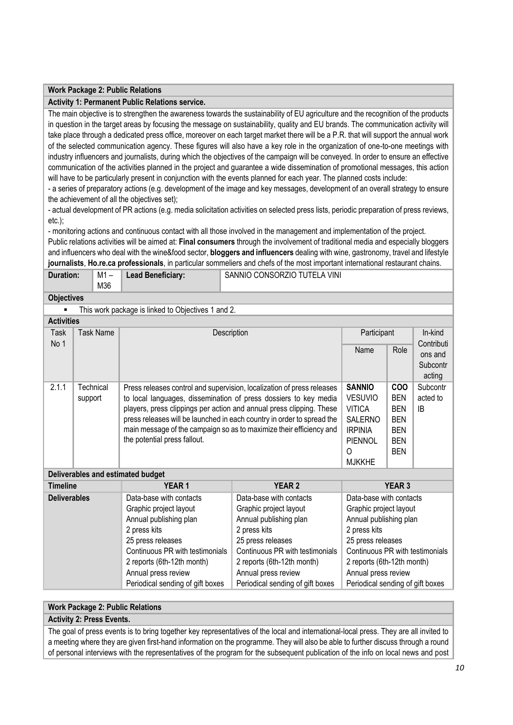### **Work Package 2: Public Relations**

#### **Activity 1: Permanent Public Relations service.**

The main objective is to strengthen the awareness towards the sustainability of EU agriculture and the recognition of the products in question in the target areas by focusing the message on sustainability, quality and EU brands. The communication activity will take place through a dedicated press office, moreover on each target market there will be a P.R. that will support the annual work of the selected communication agency. These figures will also have a key role in the organization of one-to-one meetings with industry influencers and journalists, during which the objectives of the campaign will be conveyed. In order to ensure an effective communication of the activities planned in the project and guarantee a wide dissemination of promotional messages, this action will have to be particularly present in conjunction with the events planned for each year. The planned costs include:

- a series of preparatory actions (e.g. development of the image and key messages, development of an overall strategy to ensure the achievement of all the objectives set);

- actual development of PR actions (e.g. media solicitation activities on selected press lists, periodic preparation of press reviews, etc.);

- monitoring actions and continuous contact with all those involved in the management and implementation of the project.

Public relations activities will be aimed at: **Final consumers** through the involvement of traditional media and especially bloggers and influencers who deal with the wine&food sector, **bloggers and influencers** dealing with wine, gastronomy, travel and lifestyle **journalists**, **Ho.re.ca professionals**, in particular sommeliers and chefs of the most important international restaurant chains.

| <b>Duration:</b> | M1 – | <b>Lead Beneficiary:</b> | SANNIO CONSORZIO TUTELA VINI |
|------------------|------|--------------------------|------------------------------|
|                  | M36  |                          |                              |

**Objectives**

This work package is linked to Objectives 1 and 2.

| <b>Activities</b> |                  |                                                                        |                |            |            |
|-------------------|------------------|------------------------------------------------------------------------|----------------|------------|------------|
| Task              | Task Name        | Description                                                            | Participant    |            | In-kind    |
| No 1              |                  |                                                                        |                |            | Contributi |
|                   |                  |                                                                        | Name           | Role       | ons and    |
|                   |                  |                                                                        |                |            | Subcontr   |
|                   |                  |                                                                        |                |            | acting     |
| 2.1.1             | <b>Technical</b> | Press releases control and supervision, localization of press releases | <b>SANNIO</b>  | <b>COO</b> | Subcontr   |
|                   | support          | to local languages, dissemination of press dossiers to key media       | <b>VESUVIO</b> | <b>BEN</b> | acted to   |
|                   |                  | players, press clippings per action and annual press clipping. These   | <b>VITICA</b>  | <b>BEN</b> | IB         |
|                   |                  | press releases will be launched in each country in order to spread the | <b>SALERNO</b> | <b>BEN</b> |            |
|                   |                  | main message of the campaign so as to maximize their efficiency and    | <b>IRPINIA</b> | <b>BEN</b> |            |
|                   |                  | the potential press fallout.                                           | PIENNOL        | <b>BEN</b> |            |
|                   |                  |                                                                        | 0              | <b>BEN</b> |            |
|                   |                  |                                                                        | <b>MJKKHE</b>  |            |            |

#### **Deliverables and estimated budget**

| <b>Timeline</b>     | <b>YEAR1</b>                     | <b>YEAR 2</b>                    | <b>YEAR 3</b>                    |  |  |
|---------------------|----------------------------------|----------------------------------|----------------------------------|--|--|
| <b>Deliverables</b> | Data-base with contacts          | Data-base with contacts          | Data-base with contacts          |  |  |
|                     | Graphic project layout           | Graphic project layout           | Graphic project layout           |  |  |
|                     | Annual publishing plan           | Annual publishing plan           | Annual publishing plan           |  |  |
|                     | 2 press kits                     | 2 press kits                     | 2 press kits                     |  |  |
|                     | 25 press releases                | 25 press releases                | 25 press releases                |  |  |
|                     | Continuous PR with testimonials  | Continuous PR with testimonials  | Continuous PR with testimonials  |  |  |
|                     | 2 reports (6th-12th month)       | 2 reports (6th-12th month)       | 2 reports (6th-12th month)       |  |  |
|                     | Annual press review              | Annual press review              | Annual press review              |  |  |
|                     | Periodical sending of gift boxes | Periodical sending of gift boxes | Periodical sending of gift boxes |  |  |

#### **Work Package 2: Public Relations**

#### **Activity 2: Press Events.**

The goal of press events is to bring together key representatives of the local and international-local press. They are all invited to a meeting where they are given first-hand information on the programme. They will also be able to further discuss through a round of personal interviews with the representatives of the program for the subsequent publication of the info on local news and post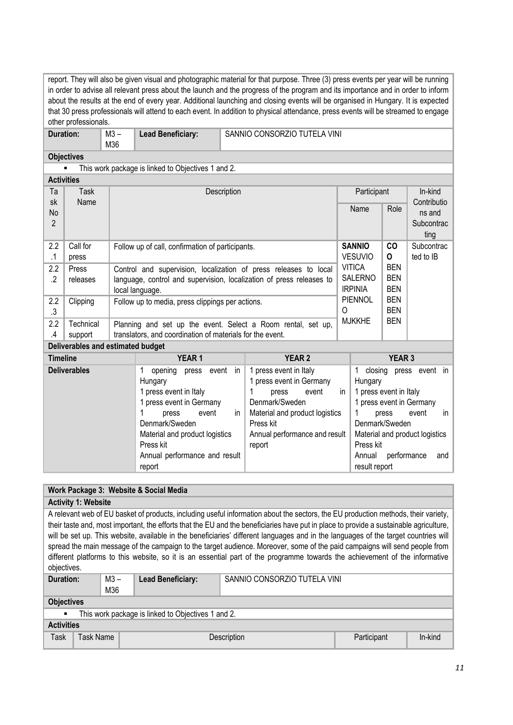| report. They will also be given visual and photographic material for that purpose. Three (3) press events per year will be running<br>in order to advise all relevant press about the launch and the progress of the program and its importance and in order to inform |                                                                                                                                                                                                                                                                   |               |                                                                                 |                            |                                                                                                                                        |               |                |                                         |                          |  |
|------------------------------------------------------------------------------------------------------------------------------------------------------------------------------------------------------------------------------------------------------------------------|-------------------------------------------------------------------------------------------------------------------------------------------------------------------------------------------------------------------------------------------------------------------|---------------|---------------------------------------------------------------------------------|----------------------------|----------------------------------------------------------------------------------------------------------------------------------------|---------------|----------------|-----------------------------------------|--------------------------|--|
|                                                                                                                                                                                                                                                                        |                                                                                                                                                                                                                                                                   |               |                                                                                 |                            | about the results at the end of every year. Additional launching and closing events will be organised in Hungary. It is expected       |               |                |                                         |                          |  |
|                                                                                                                                                                                                                                                                        |                                                                                                                                                                                                                                                                   |               |                                                                                 |                            | that 30 press professionals will attend to each event. In addition to physical attendance, press events will be streamed to engage     |               |                |                                         |                          |  |
|                                                                                                                                                                                                                                                                        | other professionals.                                                                                                                                                                                                                                              |               |                                                                                 |                            |                                                                                                                                        |               |                |                                         |                          |  |
| <b>Duration:</b>                                                                                                                                                                                                                                                       |                                                                                                                                                                                                                                                                   | $M3 -$<br>M36 | <b>Lead Beneficiary:</b>                                                        |                            | SANNIO CONSORZIO TUTELA VINI                                                                                                           |               |                |                                         |                          |  |
|                                                                                                                                                                                                                                                                        | <b>Objectives</b>                                                                                                                                                                                                                                                 |               |                                                                                 |                            |                                                                                                                                        |               |                |                                         |                          |  |
|                                                                                                                                                                                                                                                                        |                                                                                                                                                                                                                                                                   |               | This work package is linked to Objectives 1 and 2.                              |                            |                                                                                                                                        |               |                |                                         |                          |  |
| <b>Activities</b>                                                                                                                                                                                                                                                      |                                                                                                                                                                                                                                                                   |               |                                                                                 |                            |                                                                                                                                        |               |                |                                         |                          |  |
| Ta                                                                                                                                                                                                                                                                     | <b>Task</b>                                                                                                                                                                                                                                                       |               |                                                                                 | Description                |                                                                                                                                        |               | Participant    |                                         | In-kind                  |  |
| sk                                                                                                                                                                                                                                                                     | Name                                                                                                                                                                                                                                                              |               |                                                                                 |                            |                                                                                                                                        |               |                |                                         | Contributio              |  |
| No                                                                                                                                                                                                                                                                     |                                                                                                                                                                                                                                                                   |               |                                                                                 |                            |                                                                                                                                        |               | Name           | Role                                    | ns and                   |  |
| $\overline{2}$                                                                                                                                                                                                                                                         |                                                                                                                                                                                                                                                                   |               |                                                                                 |                            |                                                                                                                                        |               |                |                                         | Subcontrac               |  |
|                                                                                                                                                                                                                                                                        |                                                                                                                                                                                                                                                                   |               |                                                                                 |                            |                                                                                                                                        |               |                |                                         | ting                     |  |
| 2.2                                                                                                                                                                                                                                                                    | Call for                                                                                                                                                                                                                                                          |               | Follow up of call, confirmation of participants.                                |                            |                                                                                                                                        |               | <b>SANNIO</b>  | CO                                      | Subcontrac               |  |
| .1                                                                                                                                                                                                                                                                     | press                                                                                                                                                                                                                                                             |               |                                                                                 |                            |                                                                                                                                        |               | <b>VESUVIO</b> | $\mathbf 0$                             | ted to IB                |  |
| 2.2                                                                                                                                                                                                                                                                    | Press                                                                                                                                                                                                                                                             |               |                                                                                 |                            | Control and supervision, localization of press releases to local                                                                       |               | <b>VITICA</b>  | <b>BEN</b>                              |                          |  |
| $\cdot$                                                                                                                                                                                                                                                                | releases                                                                                                                                                                                                                                                          |               | SALERNO<br>language, control and supervision, localization of press releases to |                            |                                                                                                                                        |               |                | <b>BEN</b>                              |                          |  |
|                                                                                                                                                                                                                                                                        |                                                                                                                                                                                                                                                                   |               | local language.                                                                 |                            |                                                                                                                                        |               | <b>IRPINIA</b> | <b>BEN</b>                              |                          |  |
| 2.2                                                                                                                                                                                                                                                                    | Clipping                                                                                                                                                                                                                                                          |               | Follow up to media, press clippings per actions.                                |                            |                                                                                                                                        |               | <b>PIENNOL</b> | <b>BEN</b><br><b>BEN</b>                |                          |  |
| .3                                                                                                                                                                                                                                                                     |                                                                                                                                                                                                                                                                   |               |                                                                                 |                            |                                                                                                                                        |               |                | <b>BEN</b>                              |                          |  |
| 2.2                                                                                                                                                                                                                                                                    | Technical                                                                                                                                                                                                                                                         |               | Planning and set up the event. Select a Room rental, set up,                    |                            |                                                                                                                                        |               |                |                                         |                          |  |
| $\cal A$                                                                                                                                                                                                                                                               | support                                                                                                                                                                                                                                                           |               | translators, and coordination of materials for the event.                       |                            |                                                                                                                                        |               |                |                                         |                          |  |
|                                                                                                                                                                                                                                                                        | Deliverables and estimated budget                                                                                                                                                                                                                                 |               |                                                                                 |                            |                                                                                                                                        |               |                |                                         |                          |  |
| <b>Timeline</b>                                                                                                                                                                                                                                                        |                                                                                                                                                                                                                                                                   |               | YEAR <sub>1</sub>                                                               |                            | <b>YEAR 2</b>                                                                                                                          |               |                | <b>YEAR 3</b>                           |                          |  |
|                                                                                                                                                                                                                                                                        | <b>Deliverables</b>                                                                                                                                                                                                                                               |               | 1<br>opening<br>event<br>press                                                  | in                         | 1 press event in Italy                                                                                                                 |               | 1<br>closing   |                                         | press event in           |  |
|                                                                                                                                                                                                                                                                        |                                                                                                                                                                                                                                                                   |               | Hungary                                                                         |                            | 1 press event in Germany                                                                                                               |               | Hungary        |                                         |                          |  |
|                                                                                                                                                                                                                                                                        |                                                                                                                                                                                                                                                                   |               | 1 press event in Italy                                                          | 1<br>event<br>in.<br>press |                                                                                                                                        |               |                | 1 press event in Italy                  |                          |  |
|                                                                                                                                                                                                                                                                        |                                                                                                                                                                                                                                                                   |               | 1 press event in Germany                                                        |                            | Denmark/Sweden                                                                                                                         |               |                |                                         | 1 press event in Germany |  |
|                                                                                                                                                                                                                                                                        |                                                                                                                                                                                                                                                                   |               | press<br>event<br>Denmark/Sweden                                                | in                         | Material and product logistics<br>Press kit                                                                                            |               | 1              | event<br>press<br>in.<br>Denmark/Sweden |                          |  |
|                                                                                                                                                                                                                                                                        |                                                                                                                                                                                                                                                                   |               | Material and product logistics                                                  |                            | Annual performance and result                                                                                                          |               |                | Material and product logistics          |                          |  |
|                                                                                                                                                                                                                                                                        |                                                                                                                                                                                                                                                                   |               | Press kit                                                                       |                            | report                                                                                                                                 |               | Press kit      |                                         |                          |  |
|                                                                                                                                                                                                                                                                        |                                                                                                                                                                                                                                                                   |               | Annual performance and result                                                   |                            |                                                                                                                                        |               | Annual         | performance                             | and                      |  |
| report                                                                                                                                                                                                                                                                 |                                                                                                                                                                                                                                                                   |               |                                                                                 |                            |                                                                                                                                        | result report |                |                                         |                          |  |
|                                                                                                                                                                                                                                                                        |                                                                                                                                                                                                                                                                   |               |                                                                                 |                            |                                                                                                                                        |               |                |                                         |                          |  |
|                                                                                                                                                                                                                                                                        |                                                                                                                                                                                                                                                                   |               | Work Package 3: Website & Social Media                                          |                            |                                                                                                                                        |               |                |                                         |                          |  |
|                                                                                                                                                                                                                                                                        | <b>Activity 1: Website</b>                                                                                                                                                                                                                                        |               |                                                                                 |                            |                                                                                                                                        |               |                |                                         |                          |  |
|                                                                                                                                                                                                                                                                        |                                                                                                                                                                                                                                                                   |               |                                                                                 |                            | A relevant web of EU basket of products, including useful information about the sectors, the EU production methods, their variety,     |               |                |                                         |                          |  |
|                                                                                                                                                                                                                                                                        |                                                                                                                                                                                                                                                                   |               |                                                                                 |                            | their taste and, most important, the efforts that the EU and the beneficiaries have put in place to provide a sustainable agriculture, |               |                |                                         |                          |  |
|                                                                                                                                                                                                                                                                        |                                                                                                                                                                                                                                                                   |               |                                                                                 |                            |                                                                                                                                        |               |                |                                         |                          |  |
|                                                                                                                                                                                                                                                                        | will be set up. This website, available in the beneficiaries' different languages and in the languages of the target countries will<br>spread the main message of the campaign to the target audience. Moreover, some of the paid campaigns will send people from |               |                                                                                 |                            |                                                                                                                                        |               |                |                                         |                          |  |

| objectives.                                                          |                   |      |                          |                              |             |         |  |  |
|----------------------------------------------------------------------|-------------------|------|--------------------------|------------------------------|-------------|---------|--|--|
| Duration:                                                            |                   | M3 – | <b>Lead Beneficiary:</b> | SANNIO CONSORZIO TUTELA VINI |             |         |  |  |
|                                                                      |                   | M36  |                          |                              |             |         |  |  |
|                                                                      | <b>Objectives</b> |      |                          |                              |             |         |  |  |
| This work package is linked to Objectives 1 and 2.<br>$\blacksquare$ |                   |      |                          |                              |             |         |  |  |
| <b>Activities</b>                                                    |                   |      |                          |                              |             |         |  |  |
| Task                                                                 | Task Name         |      |                          | Description                  | Participant | In-kind |  |  |

different platforms to this website, so it is an essential part of the programme towards the achievement of the informative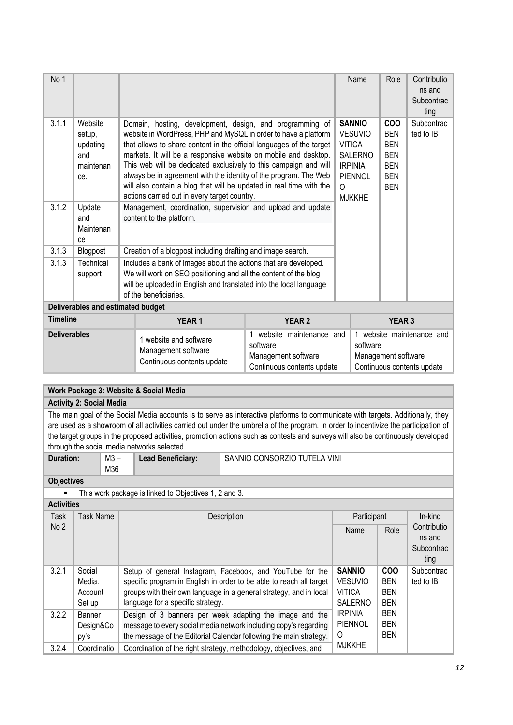| No 1                |                                                                    |  |                                                                                                                                                                                                                                                                                                                                                                                                                                                                                                                                                                                                      |                                               |               | Name                                                                                                                    | Role                                                                                           | Contributio<br>ns and<br>Subcontrac<br>ting |
|---------------------|--------------------------------------------------------------------|--|------------------------------------------------------------------------------------------------------------------------------------------------------------------------------------------------------------------------------------------------------------------------------------------------------------------------------------------------------------------------------------------------------------------------------------------------------------------------------------------------------------------------------------------------------------------------------------------------------|-----------------------------------------------|---------------|-------------------------------------------------------------------------------------------------------------------------|------------------------------------------------------------------------------------------------|---------------------------------------------|
| 3.1.1<br>3.1.2      | Website<br>setup,<br>updating<br>and<br>maintenan<br>ce.<br>Update |  | Domain, hosting, development, design, and programming of<br>website in WordPress, PHP and MySQL in order to have a platform<br>that allows to share content in the official languages of the target<br>markets. It will be a responsive website on mobile and desktop.<br>This web will be dedicated exclusively to this campaign and will<br>always be in agreement with the identity of the program. The Web<br>will also contain a blog that will be updated in real time with the<br>actions carried out in every target country.<br>Management, coordination, supervision and upload and update |                                               |               | <b>SANNIO</b><br><b>VESUVIO</b><br><b>VITICA</b><br><b>SALERNO</b><br><b>IRPINIA</b><br><b>PIENNOL</b><br><b>MJKKHE</b> | <b>COO</b><br><b>BEN</b><br><b>BEN</b><br><b>BEN</b><br><b>BEN</b><br><b>BEN</b><br><b>BEN</b> | Subcontrac<br>ted to IB                     |
|                     | and<br>Maintenan<br>ce                                             |  | content to the platform.                                                                                                                                                                                                                                                                                                                                                                                                                                                                                                                                                                             |                                               |               |                                                                                                                         |                                                                                                |                                             |
| 3.1.3               | Blogpost                                                           |  | Creation of a blogpost including drafting and image search.                                                                                                                                                                                                                                                                                                                                                                                                                                                                                                                                          |                                               |               |                                                                                                                         |                                                                                                |                                             |
| 3.1.3               | Technical<br>support                                               |  | Includes a bank of images about the actions that are developed.<br>We will work on SEO positioning and all the content of the blog<br>will be uploaded in English and translated into the local language<br>of the beneficiaries.                                                                                                                                                                                                                                                                                                                                                                    |                                               |               |                                                                                                                         |                                                                                                |                                             |
|                     | Deliverables and estimated budget                                  |  |                                                                                                                                                                                                                                                                                                                                                                                                                                                                                                                                                                                                      |                                               |               |                                                                                                                         |                                                                                                |                                             |
| <b>Timeline</b>     |                                                                    |  | <b>YEAR1</b>                                                                                                                                                                                                                                                                                                                                                                                                                                                                                                                                                                                         | <b>YEAR 2</b>                                 | <b>YEAR 3</b> |                                                                                                                         |                                                                                                |                                             |
| <b>Deliverables</b> |                                                                    |  | 1 website and software                                                                                                                                                                                                                                                                                                                                                                                                                                                                                                                                                                               | 1 website maintenance and<br>- <del>11.</del> |               | 1 website maintenance and<br>-- <i>-</i> ------                                                                         |                                                                                                |                                             |

| i wobolto unu ooltware<br>software<br>Management software<br>Continuous contents update | Management software<br>Continuous contents update | software<br>Management software<br>Continuous contents update |
|-----------------------------------------------------------------------------------------|---------------------------------------------------|---------------------------------------------------------------|
|-----------------------------------------------------------------------------------------|---------------------------------------------------|---------------------------------------------------------------|

# **Work Package 3: Website & Social Media Activity 2: Social Media** The main goal of the Social Media accounts is to serve as interactive platforms to communicate with targets. Additionally, they

are used as a showroom of all activities carried out under the umbrella of the program. In order to incentivize the participation of the target groups in the proposed activities, promotion actions such as contests and surveys will also be continuously developed through the social media networks selected.

| <b>Duration:</b> | $M3 -$<br>M36 | <b>Lead Beneficiary:</b> | SANNIO CONSORZIO TUTELA VINI |
|------------------|---------------|--------------------------|------------------------------|
|------------------|---------------|--------------------------|------------------------------|

**Objectives**

■ This work package is linked to Objectives 1, 2 and 3.

| <b>Activities</b> |                                       |                                                                                                                                                                                                                                             |                                                                    |                                                      |                                             |
|-------------------|---------------------------------------|---------------------------------------------------------------------------------------------------------------------------------------------------------------------------------------------------------------------------------------------|--------------------------------------------------------------------|------------------------------------------------------|---------------------------------------------|
| Task              | Task Name                             | Description                                                                                                                                                                                                                                 | Participant                                                        | In-kind                                              |                                             |
| No <sub>2</sub>   |                                       |                                                                                                                                                                                                                                             | Name                                                               | Role                                                 | Contributio<br>ns and<br>Subcontrac<br>ting |
| 3.2.1             | Social<br>Media.<br>Account<br>Set up | Setup of general Instagram, Facebook, and YouTube for the<br>specific program in English in order to be able to reach all target<br>groups with their own language in a general strategy, and in local<br>language for a specific strategy. | <b>SANNIO</b><br><b>VESUVIO</b><br><b>VITICA</b><br><b>SALERNO</b> | <b>COO</b><br><b>BEN</b><br><b>BEN</b><br><b>BEN</b> | Subcontrac<br>ted to IB                     |
| 3.2.2             | Banner<br>Design&Co<br>py's           | Design of 3 banners per week adapting the image and the<br>message to every social media network including copy's regarding<br>the message of the Editorial Calendar following the main strategy.                                           | <b>IRPINIA</b><br>PIENNOL<br>O                                     | <b>BEN</b><br><b>BEN</b><br><b>BEN</b>               |                                             |
| 3.2.4             | Coordinatio                           | Coordination of the right strategy, methodology, objectives, and                                                                                                                                                                            | <b>MJKKHE</b>                                                      |                                                      |                                             |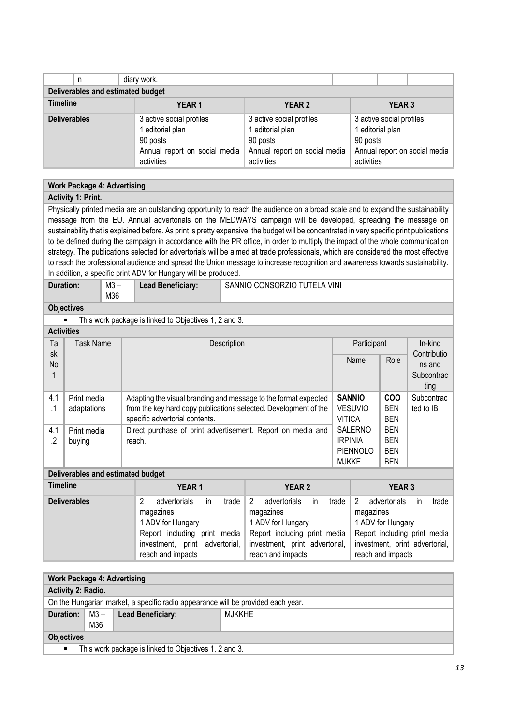| n                                 | diary work.                                                                                             |                                                                                                         |                                                                                                         |  |  |  |  |  |  |
|-----------------------------------|---------------------------------------------------------------------------------------------------------|---------------------------------------------------------------------------------------------------------|---------------------------------------------------------------------------------------------------------|--|--|--|--|--|--|
| Deliverables and estimated budget |                                                                                                         |                                                                                                         |                                                                                                         |  |  |  |  |  |  |
| <b>Timeline</b>                   | <b>YEAR1</b>                                                                                            | <b>YEAR 2</b>                                                                                           | <b>YEAR 3</b>                                                                                           |  |  |  |  |  |  |
| <b>Deliverables</b>               | 3 active social profiles<br>1 editorial plan<br>90 posts<br>Annual report on social media<br>activities | 3 active social profiles<br>1 editorial plan<br>90 posts<br>Annual report on social media<br>activities | 3 active social profiles<br>1 editorial plan<br>90 posts<br>Annual report on social media<br>activities |  |  |  |  |  |  |

### **Work Package 4: Advertising**

### **Activity 1: Print.**

Physically printed media are an outstanding opportunity to reach the audience on a broad scale and to expand the sustainability message from the EU. Annual advertorials on the MEDWAYS campaign will be developed, spreading the message on sustainability that is explained before. As print is pretty expensive, the budget will be concentrated in very specific print publications to be defined during the campaign in accordance with the PR office, in order to multiply the impact of the whole communication strategy. The publications selected for advertorials will be aimed at trade professionals, which are considered the most effective to reach the professional audience and spread the Union message to increase recognition and awareness towards sustainability. In addition, a specific print ADV for Hungary will be produced.

| <b>Duration:</b> | M3 – | <b>Lead Beneficiary:</b> | SANNIO CONSORZIO TUTELA VINI |
|------------------|------|--------------------------|------------------------------|
|                  | M36  |                          |                              |

## **Objectives**

■ This work package is linked to Objectives 1, 2 and 3. **Activities** 

| ACUVILIES |                          |                                                                  |                 |                        |            |  |  |  |
|-----------|--------------------------|------------------------------------------------------------------|-----------------|------------------------|------------|--|--|--|
| Ta<br>sk  | Task Name<br>Description |                                                                  | Participant     | In-kind<br>Contributio |            |  |  |  |
| No        |                          |                                                                  | Name            | Role                   | ns and     |  |  |  |
|           |                          |                                                                  |                 |                        | Subcontrac |  |  |  |
|           |                          |                                                                  |                 |                        | ting       |  |  |  |
| 4.1       | Print media              | Adapting the visual branding and message to the format expected  | <b>SANNIO</b>   | <b>COO</b>             | Subcontrac |  |  |  |
| .1        | adaptations              | from the key hard copy publications selected. Development of the | <b>VESUVIO</b>  | <b>BEN</b>             | ted to IB  |  |  |  |
|           |                          | specific advertorial contents.                                   | <b>VITICA</b>   | <b>BEN</b>             |            |  |  |  |
| 4.1       | Print media              | Direct purchase of print advertisement. Report on media and      | <b>SALERNO</b>  | <b>BEN</b>             |            |  |  |  |
| .2        | buying                   | reach.                                                           | <b>IRPINIA</b>  | <b>BEN</b>             |            |  |  |  |
|           |                          |                                                                  | <b>PIENNOLO</b> | <b>BEN</b>             |            |  |  |  |
|           |                          |                                                                  | <b>MJKKE</b>    | <b>BEN</b>             |            |  |  |  |

#### **Deliverables and estimated budget**

| <b>Timeline</b>     | <b>YEAR1</b>                                                                                                                                          | <b>YEAR 2</b>                                                                                                                                                                 | <b>YEAR 3</b>                                                                                                                                             |  |  |
|---------------------|-------------------------------------------------------------------------------------------------------------------------------------------------------|-------------------------------------------------------------------------------------------------------------------------------------------------------------------------------|-----------------------------------------------------------------------------------------------------------------------------------------------------------|--|--|
| <b>Deliverables</b> | trade<br>advertorials<br>in.<br>magazines<br>1 ADV for Hungary<br>Report including print media<br>investment, print advertorial,<br>reach and impacts | $\overline{2}$<br>advertorials<br>trade<br><i>in</i><br>magazines<br>1 ADV for Hungary<br>Report including print media<br>investment, print advertorial,<br>reach and impacts | 2<br>advertorials<br>trade<br>ın<br>magazines<br>1 ADV for Hungary<br>Report including print media<br>investment, print advertorial,<br>reach and impacts |  |  |

| <b>Work Package 4: Advertising</b> |                                                       |                                                                                  |               |  |  |  |  |
|------------------------------------|-------------------------------------------------------|----------------------------------------------------------------------------------|---------------|--|--|--|--|
| <b>Activity 2: Radio.</b>          |                                                       |                                                                                  |               |  |  |  |  |
|                                    |                                                       | On the Hungarian market, a specific radio appearance will be provided each year. |               |  |  |  |  |
| Duration: $\vert$ M3 –             |                                                       | <b>Lead Beneficiary:</b>                                                         | <b>MJKKHE</b> |  |  |  |  |
|                                    | M36                                                   |                                                                                  |               |  |  |  |  |
| <b>Objectives</b>                  |                                                       |                                                                                  |               |  |  |  |  |
| $\blacksquare$                     | This work package is linked to Objectives 1, 2 and 3. |                                                                                  |               |  |  |  |  |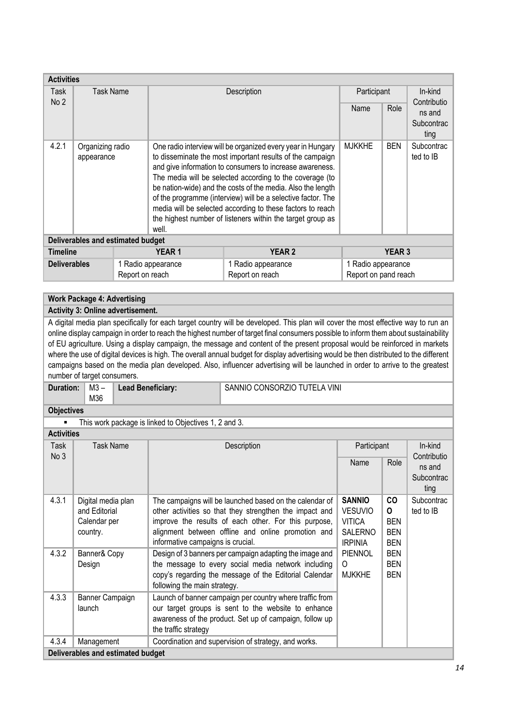| <b>Activities</b>   |                                   |                 |                                                                                                                                                                                                                                                                                                                                                                                                                                                                                                                      |             |                                            |            |                                             |  |
|---------------------|-----------------------------------|-----------------|----------------------------------------------------------------------------------------------------------------------------------------------------------------------------------------------------------------------------------------------------------------------------------------------------------------------------------------------------------------------------------------------------------------------------------------------------------------------------------------------------------------------|-------------|--------------------------------------------|------------|---------------------------------------------|--|
| Task                | <b>Task Name</b>                  |                 |                                                                                                                                                                                                                                                                                                                                                                                                                                                                                                                      | Description | Participant                                |            | In-kind                                     |  |
| No <sub>2</sub>     |                                   |                 |                                                                                                                                                                                                                                                                                                                                                                                                                                                                                                                      |             |                                            | Role       | Contributio<br>ns and<br>Subcontrac<br>ting |  |
| 4.2.1               | Organizing radio<br>appearance    |                 | One radio interview will be organized every year in Hungary<br>to disseminate the most important results of the campaign<br>and give information to consumers to increase awareness.<br>The media will be selected according to the coverage (to<br>be nation-wide) and the costs of the media. Also the length<br>of the programme (interview) will be a selective factor. The<br>media will be selected according to these factors to reach<br>the highest number of listeners within the target group as<br>well. |             | <b>MJKKHE</b>                              | <b>BEN</b> | Subcontrac<br>ted to IB                     |  |
|                     | Deliverables and estimated budget |                 |                                                                                                                                                                                                                                                                                                                                                                                                                                                                                                                      |             |                                            |            |                                             |  |
| <b>Timeline</b>     |                                   | <b>YEAR1</b>    | <b>YEAR 2</b>                                                                                                                                                                                                                                                                                                                                                                                                                                                                                                        |             | <b>YEAR 3</b>                              |            |                                             |  |
| <b>Deliverables</b> |                                   | Report on reach | 1 Radio appearance<br>1 Radio appearance<br>Report on reach                                                                                                                                                                                                                                                                                                                                                                                                                                                          |             | 1 Radio appearance<br>Report on pand reach |            |                                             |  |

### **Work Package 4: Advertising**

#### **Activity 3: Online advertisement.**

A digital media plan specifically for each target country will be developed. This plan will cover the most effective way to run an online display campaign in order to reach the highest number of target final consumers possible to inform them about sustainability of EU agriculture. Using a display campaign, the message and content of the present proposal would be reinforced in markets where the use of digital devices is high. The overall annual budget for display advertising would be then distributed to the different campaigns based on the media plan developed. Also, influencer advertising will be launched in order to arrive to the greatest number of target consumers.

| Duration: I | M3 – | <b>Lead Benefic</b> |
|-------------|------|---------------------|
|             | M36  |                     |

**Lead Beneficial Beneficial Beneficial SANNIO CONSORZIO TUTELA VINI** 

#### **Objectives**

■ This work package is linked to Objectives 1, 2 and 3. **Activities** 

| ACUVIUS      |                                   |                                                          |                |            |                        |  |
|--------------|-----------------------------------|----------------------------------------------------------|----------------|------------|------------------------|--|
| Task<br>No 3 | Task Name                         | Description                                              | Participant    |            | In-kind<br>Contributio |  |
|              |                                   |                                                          | Name           | Role       | ns and                 |  |
|              |                                   |                                                          |                |            | Subcontrac             |  |
|              |                                   |                                                          |                |            | ting                   |  |
| 4.3.1        | Digital media plan                | The campaigns will be launched based on the calendar of  | <b>SANNIO</b>  | <b>CO</b>  | Subcontrac             |  |
|              | and Editorial                     | other activities so that they strengthen the impact and  | <b>VESUVIO</b> | 0          | ted to IB              |  |
|              | Calendar per                      | improve the results of each other. For this purpose,     | <b>VITICA</b>  | <b>BEN</b> |                        |  |
|              | country.                          | alignment between offline and online promotion and       | <b>SALERNO</b> | <b>BEN</b> |                        |  |
|              |                                   | informative campaigns is crucial.                        | <b>IRPINIA</b> | <b>BEN</b> |                        |  |
| 4.3.2        | Banner& Copy                      | Design of 3 banners per campaign adapting the image and  | <b>PIENNOL</b> | <b>BEN</b> |                        |  |
|              | Design                            | the message to every social media network including      | O              | <b>BEN</b> |                        |  |
|              |                                   | copy's regarding the message of the Editorial Calendar   | <b>MJKKHE</b>  | <b>BEN</b> |                        |  |
|              |                                   | following the main strategy.                             |                |            |                        |  |
| 4.3.3        | Banner Campaign                   | Launch of banner campaign per country where traffic from |                |            |                        |  |
|              | launch                            | our target groups is sent to the website to enhance      |                |            |                        |  |
|              |                                   | awareness of the product. Set up of campaign, follow up  |                |            |                        |  |
|              |                                   | the traffic strategy                                     |                |            |                        |  |
| 4.3.4        | Management                        | Coordination and supervision of strategy, and works.     |                |            |                        |  |
|              | Deliverables and estimated budget |                                                          |                |            |                        |  |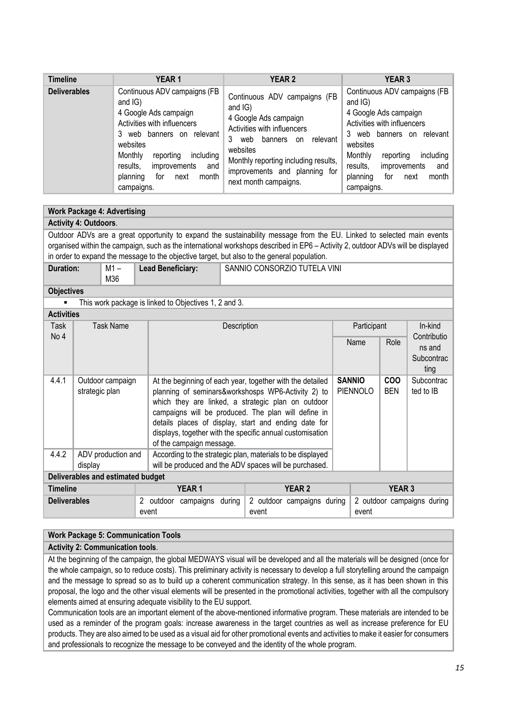| <b>Timeline</b>     | <b>YEAR1</b>                                                                                                                                                                                                                                                                  | <b>YEAR 2</b>                                                                                                                                                                                                                                          | <b>YEAR 3</b>                                                                                                                                                                                                                                                                       |
|---------------------|-------------------------------------------------------------------------------------------------------------------------------------------------------------------------------------------------------------------------------------------------------------------------------|--------------------------------------------------------------------------------------------------------------------------------------------------------------------------------------------------------------------------------------------------------|-------------------------------------------------------------------------------------------------------------------------------------------------------------------------------------------------------------------------------------------------------------------------------------|
| <b>Deliverables</b> | Continuous ADV campaigns (FB<br>and $ G\rangle$<br>4 Google Ads campaign<br>Activities with influencers<br>3 web banners on<br>relevant<br>websites<br>including<br>Monthly<br>reporting<br>results,<br>improvements<br>and<br>planning<br>month<br>next<br>tor<br>campaigns. | Continuous ADV campaigns (FB<br>and IG)<br>4 Google Ads campaign<br>Activities with influencers<br>3<br>relevant<br>banners<br>web<br>on<br>websites<br>Monthly reporting including results,<br>improvements and planning for<br>next month campaigns. | Continuous ADV campaigns (FB<br>and IG)<br>4 Google Ads campaign<br>Activities with influencers<br>3<br>relevant  <br>banners on<br>web<br>websites<br>Monthly<br>including<br>reporting<br>results,<br>improvements<br>and $ $<br>planning<br>month  <br>for<br>next<br>campaigns. |

|                                                                                                                                             | <b>Work Package 4: Advertising</b>                                                                                                                                                                                                                                                                                                                                                                                  |  |                          |                                                                                                                      |                                  |                          |                              |             |                                             |         |
|---------------------------------------------------------------------------------------------------------------------------------------------|---------------------------------------------------------------------------------------------------------------------------------------------------------------------------------------------------------------------------------------------------------------------------------------------------------------------------------------------------------------------------------------------------------------------|--|--------------------------|----------------------------------------------------------------------------------------------------------------------|----------------------------------|--------------------------|------------------------------|-------------|---------------------------------------------|---------|
|                                                                                                                                             | <b>Activity 4: Outdoors.</b>                                                                                                                                                                                                                                                                                                                                                                                        |  |                          |                                                                                                                      |                                  |                          |                              |             |                                             |         |
|                                                                                                                                             | Outdoor ADVs are a great opportunity to expand the sustainability message from the EU. Linked to selected main events<br>organised within the campaign, such as the international workshops described in EP6 - Activity 2, outdoor ADVs will be displayed<br>in order to expand the message to the objective target, but also to the general population.                                                            |  |                          |                                                                                                                      |                                  |                          |                              |             |                                             |         |
| Duration:                                                                                                                                   | $M1 -$<br>M36                                                                                                                                                                                                                                                                                                                                                                                                       |  | <b>Lead Beneficiary:</b> |                                                                                                                      |                                  |                          | SANNIO CONSORZIO TUTELA VINI |             |                                             |         |
| <b>Objectives</b>                                                                                                                           |                                                                                                                                                                                                                                                                                                                                                                                                                     |  |                          |                                                                                                                      |                                  |                          |                              |             |                                             |         |
|                                                                                                                                             | This work package is linked to Objectives 1, 2 and 3.                                                                                                                                                                                                                                                                                                                                                               |  |                          |                                                                                                                      |                                  |                          |                              |             |                                             |         |
| <b>Activities</b>                                                                                                                           |                                                                                                                                                                                                                                                                                                                                                                                                                     |  |                          |                                                                                                                      |                                  |                          |                              |             |                                             |         |
| Task                                                                                                                                        | <b>Task Name</b>                                                                                                                                                                                                                                                                                                                                                                                                    |  |                          |                                                                                                                      | Description                      |                          |                              | Participant |                                             | In-kind |
|                                                                                                                                             | No 4                                                                                                                                                                                                                                                                                                                                                                                                                |  |                          |                                                                                                                      |                                  |                          | Name                         | Role        | Contributio<br>ns and<br>Subcontrac<br>ting |         |
| 4.4.1                                                                                                                                       | Outdoor campaign<br>At the beginning of each year, together with the detailed<br>planning of seminars&workshosps WP6-Activity 2) to<br>strategic plan<br>which they are linked, a strategic plan on outdoor<br>campaigns will be produced. The plan will define in<br>details places of display, start and ending date for<br>displays, together with the specific annual customisation<br>of the campaign message. |  |                          |                                                                                                                      | <b>SANNIO</b><br><b>PIENNOLO</b> | <b>COO</b><br><b>BEN</b> | Subcontrac<br>ted to IB      |             |                                             |         |
| 4.4.2                                                                                                                                       | ADV production and<br>display                                                                                                                                                                                                                                                                                                                                                                                       |  |                          | According to the strategic plan, materials to be displayed<br>will be produced and the ADV spaces will be purchased. |                                  |                          |                              |             |                                             |         |
|                                                                                                                                             | Deliverables and estimated budget                                                                                                                                                                                                                                                                                                                                                                                   |  |                          |                                                                                                                      |                                  |                          |                              |             |                                             |         |
| <b>Timeline</b>                                                                                                                             |                                                                                                                                                                                                                                                                                                                                                                                                                     |  |                          | <b>YEAR 1</b>                                                                                                        |                                  |                          | <b>YEAR 2</b>                |             | <b>YEAR 3</b>                               |         |
| <b>Deliverables</b><br>2 outdoor campaigns<br>2 outdoor campaigns during<br>2 outdoor campaigns during<br>during<br>event<br>event<br>event |                                                                                                                                                                                                                                                                                                                                                                                                                     |  |                          |                                                                                                                      |                                  |                          |                              |             |                                             |         |

### **Work Package 5: Communication Tools**

#### **Activity 2: Communication tools**.

At the beginning of the campaign, the global MEDWAYS visual will be developed and all the materials will be designed (once for the whole campaign, so to reduce costs). This preliminary activity is necessary to develop a full storytelling around the campaign and the message to spread so as to build up a coherent communication strategy. In this sense, as it has been shown in this proposal, the logo and the other visual elements will be presented in the promotional activities, together with all the compulsory elements aimed at ensuring adequate visibility to the EU support.

Communication tools are an important element of the above-mentioned informative program. These materials are intended to be used as a reminder of the program goals: increase awareness in the target countries as well as increase preference for EU products. They are also aimed to be used as a visual aid for other promotional events and activities to make it easier for consumers and professionals to recognize the message to be conveyed and the identity of the whole program.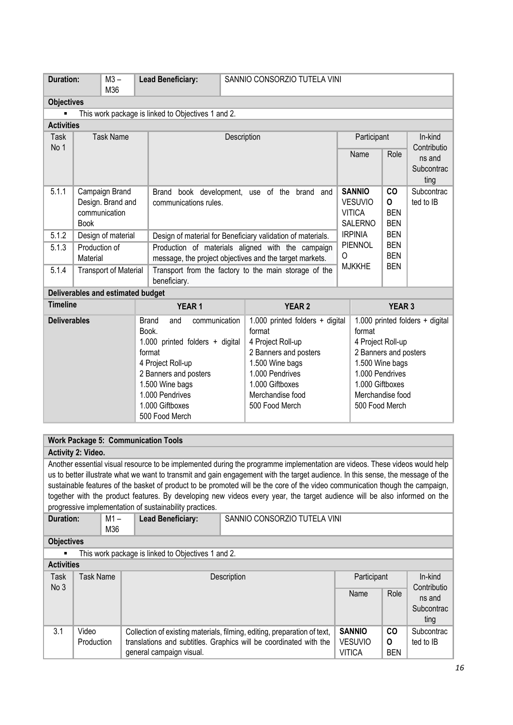| <b>Duration:</b>    | $M3 -$<br>M36 |                                                                                         | <b>Lead Beneficiary:</b>                                                | SANNIO CONSORZIO TUTELA VINI                                                                                                                                                                                  |                                                                                                                                   |                                                                                                                                                                                                                                                                                                                                                                                 |                                   |                                                                                                               |                                                                                                                                                                                                                         |
|---------------------|---------------|-----------------------------------------------------------------------------------------|-------------------------------------------------------------------------|---------------------------------------------------------------------------------------------------------------------------------------------------------------------------------------------------------------|-----------------------------------------------------------------------------------------------------------------------------------|---------------------------------------------------------------------------------------------------------------------------------------------------------------------------------------------------------------------------------------------------------------------------------------------------------------------------------------------------------------------------------|-----------------------------------|---------------------------------------------------------------------------------------------------------------|-------------------------------------------------------------------------------------------------------------------------------------------------------------------------------------------------------------------------|
| <b>Objectives</b>   |               |                                                                                         |                                                                         |                                                                                                                                                                                                               |                                                                                                                                   |                                                                                                                                                                                                                                                                                                                                                                                 |                                   |                                                                                                               |                                                                                                                                                                                                                         |
|                     |               |                                                                                         |                                                                         |                                                                                                                                                                                                               |                                                                                                                                   |                                                                                                                                                                                                                                                                                                                                                                                 |                                   |                                                                                                               |                                                                                                                                                                                                                         |
| <b>Activities</b>   |               |                                                                                         |                                                                         |                                                                                                                                                                                                               |                                                                                                                                   |                                                                                                                                                                                                                                                                                                                                                                                 |                                   |                                                                                                               |                                                                                                                                                                                                                         |
|                     |               |                                                                                         |                                                                         |                                                                                                                                                                                                               |                                                                                                                                   |                                                                                                                                                                                                                                                                                                                                                                                 |                                   |                                                                                                               | In-kind                                                                                                                                                                                                                 |
|                     |               |                                                                                         |                                                                         |                                                                                                                                                                                                               |                                                                                                                                   |                                                                                                                                                                                                                                                                                                                                                                                 |                                   |                                                                                                               | Contributio                                                                                                                                                                                                             |
|                     |               |                                                                                         |                                                                         |                                                                                                                                                                                                               |                                                                                                                                   |                                                                                                                                                                                                                                                                                                                                                                                 |                                   |                                                                                                               | ns and                                                                                                                                                                                                                  |
|                     |               |                                                                                         |                                                                         |                                                                                                                                                                                                               |                                                                                                                                   |                                                                                                                                                                                                                                                                                                                                                                                 |                                   |                                                                                                               | Subcontrac                                                                                                                                                                                                              |
|                     |               |                                                                                         |                                                                         |                                                                                                                                                                                                               |                                                                                                                                   |                                                                                                                                                                                                                                                                                                                                                                                 |                                   |                                                                                                               | ting                                                                                                                                                                                                                    |
|                     |               |                                                                                         |                                                                         |                                                                                                                                                                                                               |                                                                                                                                   |                                                                                                                                                                                                                                                                                                                                                                                 |                                   |                                                                                                               | Subcontrac<br>ted to IB                                                                                                                                                                                                 |
|                     |               |                                                                                         |                                                                         |                                                                                                                                                                                                               |                                                                                                                                   |                                                                                                                                                                                                                                                                                                                                                                                 |                                   |                                                                                                               |                                                                                                                                                                                                                         |
| <b>Book</b>         |               |                                                                                         |                                                                         |                                                                                                                                                                                                               |                                                                                                                                   |                                                                                                                                                                                                                                                                                                                                                                                 |                                   | <b>BEN</b>                                                                                                    |                                                                                                                                                                                                                         |
|                     |               |                                                                                         |                                                                         |                                                                                                                                                                                                               |                                                                                                                                   | <b>IRPINIA</b>                                                                                                                                                                                                                                                                                                                                                                  |                                   | <b>BEN</b>                                                                                                    |                                                                                                                                                                                                                         |
|                     |               |                                                                                         |                                                                         |                                                                                                                                                                                                               |                                                                                                                                   |                                                                                                                                                                                                                                                                                                                                                                                 |                                   | <b>BEN</b>                                                                                                    |                                                                                                                                                                                                                         |
|                     |               |                                                                                         |                                                                         |                                                                                                                                                                                                               |                                                                                                                                   | 0                                                                                                                                                                                                                                                                                                                                                                               |                                   |                                                                                                               |                                                                                                                                                                                                                         |
|                     |               |                                                                                         |                                                                         |                                                                                                                                                                                                               |                                                                                                                                   |                                                                                                                                                                                                                                                                                                                                                                                 |                                   |                                                                                                               |                                                                                                                                                                                                                         |
|                     |               |                                                                                         |                                                                         |                                                                                                                                                                                                               |                                                                                                                                   |                                                                                                                                                                                                                                                                                                                                                                                 |                                   |                                                                                                               |                                                                                                                                                                                                                         |
|                     |               |                                                                                         |                                                                         |                                                                                                                                                                                                               |                                                                                                                                   |                                                                                                                                                                                                                                                                                                                                                                                 |                                   |                                                                                                               |                                                                                                                                                                                                                         |
| <b>Timeline</b>     |               |                                                                                         | <b>YEAR1</b>                                                            |                                                                                                                                                                                                               | <b>YEAR 2</b>                                                                                                                     |                                                                                                                                                                                                                                                                                                                                                                                 |                                   | <b>YEAR 3</b>                                                                                                 |                                                                                                                                                                                                                         |
| <b>Deliverables</b> |               |                                                                                         | and                                                                     |                                                                                                                                                                                                               |                                                                                                                                   |                                                                                                                                                                                                                                                                                                                                                                                 |                                   |                                                                                                               |                                                                                                                                                                                                                         |
|                     |               |                                                                                         |                                                                         |                                                                                                                                                                                                               | format                                                                                                                            |                                                                                                                                                                                                                                                                                                                                                                                 | format                            |                                                                                                               |                                                                                                                                                                                                                         |
|                     |               |                                                                                         |                                                                         |                                                                                                                                                                                                               | 4 Project Roll-up                                                                                                                 |                                                                                                                                                                                                                                                                                                                                                                                 |                                   |                                                                                                               |                                                                                                                                                                                                                         |
|                     |               |                                                                                         |                                                                         |                                                                                                                                                                                                               | 2 Banners and posters                                                                                                             |                                                                                                                                                                                                                                                                                                                                                                                 | 2 Banners and posters             |                                                                                                               |                                                                                                                                                                                                                         |
|                     |               |                                                                                         |                                                                         |                                                                                                                                                                                                               | 1.500 Wine bags                                                                                                                   |                                                                                                                                                                                                                                                                                                                                                                                 | 1.500 Wine bags                   |                                                                                                               |                                                                                                                                                                                                                         |
|                     |               |                                                                                         |                                                                         |                                                                                                                                                                                                               |                                                                                                                                   |                                                                                                                                                                                                                                                                                                                                                                                 |                                   |                                                                                                               |                                                                                                                                                                                                                         |
|                     |               |                                                                                         |                                                                         |                                                                                                                                                                                                               |                                                                                                                                   |                                                                                                                                                                                                                                                                                                                                                                                 |                                   |                                                                                                               |                                                                                                                                                                                                                         |
|                     |               |                                                                                         |                                                                         |                                                                                                                                                                                                               |                                                                                                                                   |                                                                                                                                                                                                                                                                                                                                                                                 |                                   |                                                                                                               |                                                                                                                                                                                                                         |
|                     |               |                                                                                         |                                                                         |                                                                                                                                                                                                               |                                                                                                                                   |                                                                                                                                                                                                                                                                                                                                                                                 |                                   |                                                                                                               |                                                                                                                                                                                                                         |
|                     |               | <b>Task Name</b><br>Campaign Brand<br>communication<br>Production of<br><b>Material</b> | Design. Brand and<br>Design of material<br><b>Transport of Material</b> | beneficiary.<br>Deliverables and estimated budget<br><b>Brand</b><br>Book.<br>format<br>4 Project Roll-up<br>2 Banners and posters<br>1.500 Wine bags<br>1.000 Pendrives<br>1.000 Giftboxes<br>500 Food Merch | This work package is linked to Objectives 1 and 2.<br>communications rules.<br>communication<br>1.000 printed folders $+$ digital | Description<br>Brand book development, use of the brand and<br>Design of material for Beneficiary validation of materials.<br>Production of materials aligned with the campaign<br>message, the project objectives and the target markets.<br>Transport from the factory to the main storage of the<br>1.000 Pendrives<br>1.000 Giftboxes<br>Merchandise food<br>500 Food Merch | 1.000 printed folders $+$ digital | Name<br><b>SANNIO</b><br><b>VESUVIO</b><br><b>VITICA</b><br><b>SALERNO</b><br><b>PIENNOL</b><br><b>MJKKHE</b> | Participant<br>Role<br>CO<br>$\mathbf{o}$<br><b>BEN</b><br><b>BEN</b><br><b>BEN</b><br>1.000 printed folders + digital<br>4 Project Roll-up<br>1.000 Pendrives<br>1.000 Giftboxes<br>Merchandise food<br>500 Food Merch |

### **Work Package 5: Communication Tools**

### **Activity 2: Video.**

Another essential visual resource to be implemented during the programme implementation are videos. These videos would help us to better illustrate what we want to transmit and gain engagement with the target audience. In this sense, the message of the sustainable features of the basket of product to be promoted will be the core of the video communication though the campaign, together with the product features. By developing new videos every year, the target audience will be also informed on the progressive implementation of sustainability practices.

| <b>Duration:</b> | $M1 -$ | <b>Lead Beneficiary:</b> | SANNIO CONSORZIO TUTELA VINI |
|------------------|--------|--------------------------|------------------------------|
|                  | M36    |                          |                              |

### **Objectives**

■ This work package is linked to Objectives 1 and 2.

| <b>Activities</b> |                  |                                                                          |                |            |             |
|-------------------|------------------|--------------------------------------------------------------------------|----------------|------------|-------------|
| Task              | <b>Task Name</b> | Description                                                              | Participant    |            | In-kind     |
| No 3              |                  |                                                                          |                |            | Contributio |
|                   |                  |                                                                          | Name           | Role       | ns and      |
|                   |                  |                                                                          |                |            | Subcontrac  |
|                   |                  |                                                                          |                |            | ting        |
| 3.1               | Video            | Collection of existing materials, filming, editing, preparation of text, | <b>SANNIO</b>  | <b>CO</b>  | Subcontrac  |
|                   | Production       | translations and subtitles. Graphics will be coordinated with the        | <b>VESUVIO</b> | 0          | ted to IB   |
|                   |                  | general campaign visual.                                                 | <b>VITICA</b>  | <b>BEN</b> |             |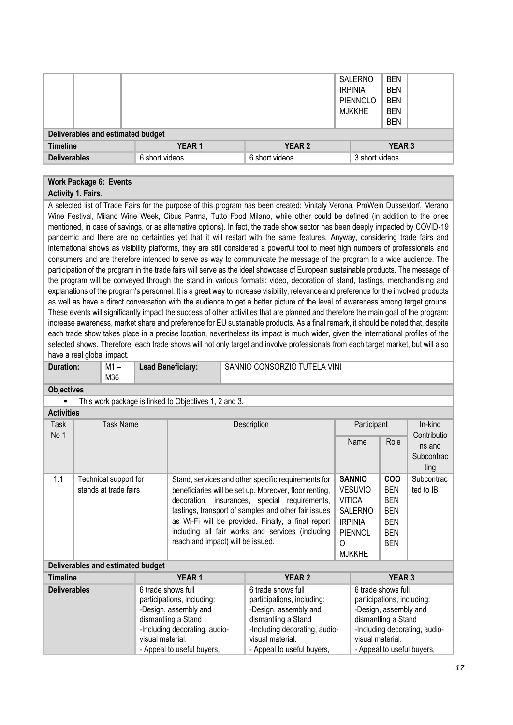|                                   |                |                | <b>SALERNO</b><br><b>IRPINIA</b><br>PIENNOLO<br>MJKKHE | <b>BEN</b><br><b>BEN</b><br><b>BEN</b><br><b>BEN</b><br><b>BEN</b> |  |  |  |  |
|-----------------------------------|----------------|----------------|--------------------------------------------------------|--------------------------------------------------------------------|--|--|--|--|
| Deliverables and estimated budget |                |                |                                                        |                                                                    |  |  |  |  |
| <b>Timeline</b>                   | <b>YEAR1</b>   | <b>YEAR 2</b>  |                                                        | <b>YEAR 3</b>                                                      |  |  |  |  |
| <b>Deliverables</b>               | 6 short videos | 6 short videos | 3 short videos                                         |                                                                    |  |  |  |  |

#### **Work Package 6: Events**

### **Activity 1. Fairs***.*

A selected list of Trade Fairs for the purpose of this program has been created: Vinitaly Verona, ProWein Dusseldorf, Merano Wine Festival, Milano Wine Week, Cibus Parma, Tutto Food Milano, while other could be defined (in addition to the ones mentioned, in case of savings, or as alternative options). In fact, the trade show sector has been deeply impacted by COVID-19 pandemic and there are no certainties yet that it will restart with the same features. Anyway, considering trade fairs and international shows as visibility platforms, they are still considered a powerful tool to meet high numbers of professionals and consumers and are therefore intended to serve as way to communicate the message of the program to a wide audience. The participation of the program in the trade fairs will serve as the ideal showcase of European sustainable products. The message of the program will be conveyed through the stand in various formats: video, decoration of stand, tastings, merchandising and explanations of the program's personnel. It is a great way to increase visibility, relevance and preference for the involved products as well as have a direct conversation with the audience to get a better picture of the level of awareness among target groups. These events will significantly impact the success of other activities that are planned and therefore the main goal of the program: increase awareness, market share and preference for EU sustainable products. As a final remark, it should be noted that, despite each trade show takes place in a precise location, nevertheless its impact is much wider, given the international profiles of the selected shows. Therefore, each trade shows will not only target and involve professionals from each target market, but will also have a real global impact.

|                   | . |                  |                                                       |                              |             |      |                        |
|-------------------|---|------------------|-------------------------------------------------------|------------------------------|-------------|------|------------------------|
| Duration:         |   | M1 –<br>M36      | <b>Lead Beneficiary:</b>                              | SANNIO CONSORZIO TUTELA VINI |             |      |                        |
| <b>Objectives</b> |   |                  |                                                       |                              |             |      |                        |
| $\blacksquare$    |   |                  | This work package is linked to Objectives 1, 2 and 3. |                              |             |      |                        |
| <b>Activities</b> |   |                  |                                                       |                              |             |      |                        |
| Task<br>No 1      |   | <b>Task Name</b> |                                                       | Description                  | Participant |      | In-kind<br>Contributio |
|                   |   |                  |                                                       |                              | Name        | Role | ns and                 |
|                   |   |                  |                                                       |                              |             |      | Subcontrac             |
|                   |   |                  |                                                       |                              |             |      | ting                   |

|     |                       |                                                        |                |            | ung        |
|-----|-----------------------|--------------------------------------------------------|----------------|------------|------------|
| 1.1 | Technical support for | Stand, services and other specific requirements for    | <b>SANNIO</b>  | <b>COO</b> | Subcontrad |
|     | stands at trade fairs | beneficiaries will be set up. Moreover, floor renting, | <b>VESUVIO</b> | <b>BEN</b> | ted to IB  |
|     |                       | decoration, insurances, special requirements,          | <b>VITICA</b>  | <b>BEN</b> |            |
|     |                       | tastings, transport of samples and other fair issues   | SALERNO        | <b>BEN</b> |            |
|     |                       | as Wi-Fi will be provided. Finally, a final report     | <b>IRPINIA</b> | <b>BEN</b> |            |
|     |                       | including all fair works and services (including       | PIENNOL        | <b>BEN</b> |            |
|     |                       | reach and impact) will be issued.                      |                | <b>BEN</b> |            |

MJKKHE

#### **Deliverables and estimated budget**

| <b>Timeline</b>     | <b>YEAR1</b>                                                                                                                                                                        | <b>YEAR 2</b>                                                                                                                                                                       | <b>YEAR 3</b>                                                                                                                                                                       |
|---------------------|-------------------------------------------------------------------------------------------------------------------------------------------------------------------------------------|-------------------------------------------------------------------------------------------------------------------------------------------------------------------------------------|-------------------------------------------------------------------------------------------------------------------------------------------------------------------------------------|
| <b>Deliverables</b> | 6 trade shows full<br>participations, including:<br>-Design, assembly and<br>dismantling a Stand<br>-Including decorating, audio-<br>visual material.<br>- Appeal to useful buyers, | 6 trade shows full<br>participations, including:<br>-Design, assembly and<br>dismantling a Stand<br>-Including decorating, audio-<br>visual material.<br>- Appeal to useful buyers, | 6 trade shows full<br>participations, including:<br>-Design, assembly and<br>dismantling a Stand<br>-Including decorating, audio-<br>visual material.<br>- Appeal to useful buyers, |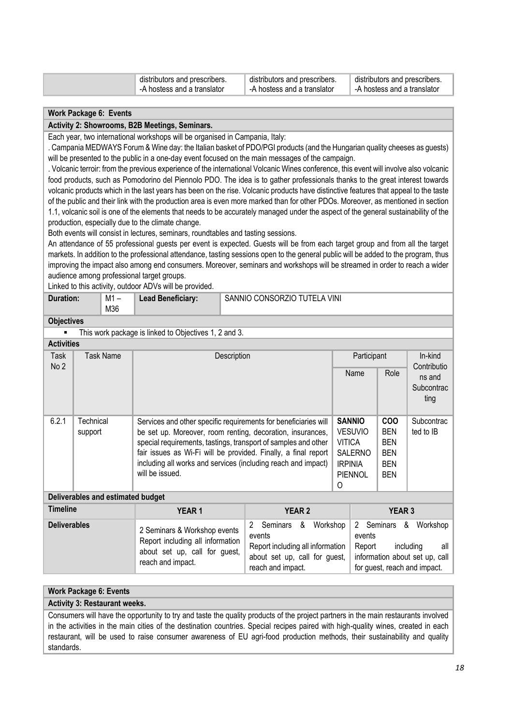| distributors and prescribers. | distributors and prescribers. | distributors and prescribers. |
|-------------------------------|-------------------------------|-------------------------------|
| -A hostess and a translator   | -A hostess and a translator   | A hostess and a translator    |

#### **Work Package 6: Events**

#### **Activity 2: Showrooms, B2B Meetings, Seminars.**

Each year, two international workshops will be organised in Campania, Italy:

. Campania MEDWAYS Forum & Wine day: the Italian basket of PDO/PGI products (and the Hungarian quality cheeses as guests) will be presented to the public in a one-day event focused on the main messages of the campaign.

. Volcanic terroir: from the previous experience of the international Volcanic Wines conference, this event will involve also volcanic food products, such as Pomodorino del Piennolo PDO. The idea is to gather professionals thanks to the great interest towards volcanic products which in the last years has been on the rise. Volcanic products have distinctive features that appeal to the taste of the public and their link with the production area is even more marked than for other PDOs. Moreover, as mentioned in section 1.1, volcanic soil is one of the elements that needs to be accurately managed under the aspect of the general sustainability of the production, especially due to the climate change.

Both events will consist in lectures, seminars, roundtables and tasting sessions.

An attendance of 55 professional guests per event is expected. Guests will be from each target group and from all the target markets. In addition to the professional attendance, tasting sessions open to the general public will be added to the program, thus improving the impact also among end consumers. Moreover, seminars and workshops will be streamed in order to reach a wider audience among professional target groups.

Linked to this activity, outdoor ADVs will be provided.

| Duration: | M1 – | <b>Lead Beneficiary:</b> | SANNIO CONSORZIO TUTELA VINI |
|-----------|------|--------------------------|------------------------------|
|           | M36  |                          |                              |

#### **Objectives**

■ This work package is linked to Objectives 1, 2 and 3.

| <b>Activities</b>                                |                                   |                                                                                                                                                                     |                                                                 |                                          |                |                          |                              |  |
|--------------------------------------------------|-----------------------------------|---------------------------------------------------------------------------------------------------------------------------------------------------------------------|-----------------------------------------------------------------|------------------------------------------|----------------|--------------------------|------------------------------|--|
| Task<br>No <sub>2</sub>                          | Task Name                         | Description                                                                                                                                                         |                                                                 |                                          | Participant    |                          | In-kind<br>Contributio       |  |
|                                                  |                                   |                                                                                                                                                                     |                                                                 |                                          | Name           | Role                     | ns and<br>Subcontrac<br>ting |  |
| 6.2.1                                            | Technical                         |                                                                                                                                                                     | Services and other specific requirements for beneficiaries will |                                          |                | <b>COO</b>               | Subcontrac                   |  |
|                                                  | support                           | be set up. Moreover, room renting, decoration, insurances,                                                                                                          |                                                                 |                                          | <b>VESUVIO</b> | <b>BEN</b><br><b>BEN</b> | ted to IB                    |  |
|                                                  |                                   | special requirements, tastings, transport of samples and other<br><b>VITICA</b><br>fair issues as Wi-Fi will be provided. Finally, a final report<br><b>SALERNO</b> |                                                                 |                                          | <b>BEN</b>     |                          |                              |  |
|                                                  |                                   |                                                                                                                                                                     | including all works and services (including reach and impact)   |                                          |                | <b>BEN</b>               |                              |  |
|                                                  |                                   | will be issued.                                                                                                                                                     |                                                                 | <b>IRPINIA</b><br><b>PIENNOL</b>         |                | <b>BEN</b>               |                              |  |
|                                                  |                                   |                                                                                                                                                                     |                                                                 | 0                                        |                |                          |                              |  |
|                                                  | Deliverables and estimated budget |                                                                                                                                                                     |                                                                 |                                          |                |                          |                              |  |
| <b>Timeline</b><br><b>YEAR 2</b><br><b>YEAR1</b> |                                   |                                                                                                                                                                     |                                                                 |                                          | <b>YEAR 3</b>  |                          |                              |  |
| Doliverables                                     |                                   |                                                                                                                                                                     | ົ<br>Cominare<br>Ω                                              | റ<br><i>Morkchon</i><br>Cominare<br>- 92 |                |                          | <i>Morkchon</i>              |  |

| <b>Deliverables</b> | 2 Seminars & Workshop events<br>Report including all information<br>about set up, call for guest,<br>reach and impact. | 2<br>events<br>Report including all information<br>about set up, call for guest,<br>reach and impact. | Seminars & Workshop 2 Seminars & Workshop<br>events<br>all<br>Report<br>including<br>information about set up, call<br>for guest, reach and impact. |
|---------------------|------------------------------------------------------------------------------------------------------------------------|-------------------------------------------------------------------------------------------------------|-----------------------------------------------------------------------------------------------------------------------------------------------------|
|---------------------|------------------------------------------------------------------------------------------------------------------------|-------------------------------------------------------------------------------------------------------|-----------------------------------------------------------------------------------------------------------------------------------------------------|

### **Work Package 6: Events**

**Activity 3: Restaurant weeks.**

Consumers will have the opportunity to try and taste the quality products of the project partners in the main restaurants involved in the activities in the main cities of the destination countries. Special recipes paired with high-quality wines, created in each restaurant, will be used to raise consumer awareness of EU agri-food production methods, their sustainability and quality standards.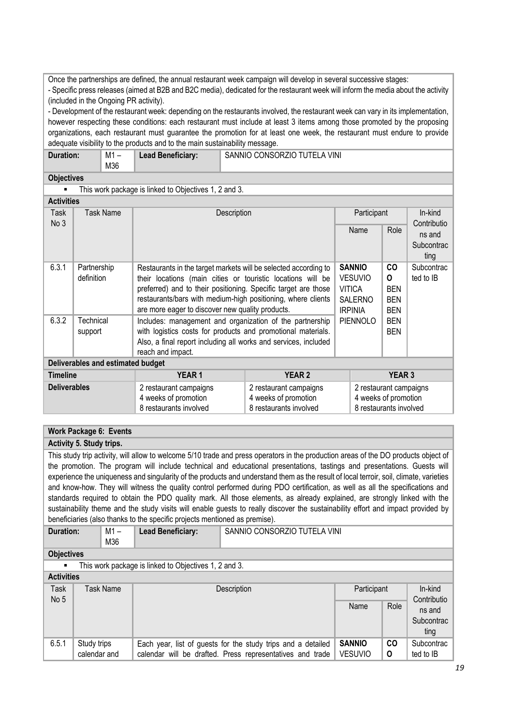Once the partnerships are defined, the annual restaurant week campaign will develop in several successive stages: - Specific press releases (aimed at B2B and B2C media), dedicated for the restaurant week will inform the media about the activity (included in the Ongoing PR activity).

- Development of the restaurant week: depending on the restaurants involved, the restaurant week can vary in its implementation, however respecting these conditions: each restaurant must include at least 3 items among those promoted by the proposing organizations, each restaurant must guarantee the promotion for at least one week, the restaurant must endure to provide adequate visibility to the products and to the main sustainability message.

| <b>Duration:</b> | M1 – | <b>Lead Beneficiary:</b> | SANNIO CONSORZIO TUTELA VINI |
|------------------|------|--------------------------|------------------------------|
|                  | M36  |                          |                              |

#### **Objectives**

■ This work package is linked to Objectives 1, 2 and 3. **Activities** 

| Task<br>Task Name<br>Description<br>Participant<br>In-kind<br>No 3<br>Contributio<br>Role<br>Name<br>ns and<br>Subcontrac<br>ting<br>6.3.1<br><b>SANNIO</b><br>CO<br>Subcontrac<br>Partnership<br>Restaurants in the target markets will be selected according to<br><b>VESUVIO</b><br>definition<br>0<br>ted to IB<br>their locations (main cities or touristic locations will be<br>preferred) and to their positioning. Specific target are those<br><b>VITICA</b><br><b>BEN</b><br>restaurants/bars with medium-high positioning, where clients<br><b>BEN</b><br><b>SALERNO</b><br>are more eager to discover new quality products.<br><b>IRPINIA</b><br><b>BEN</b><br>6.3.2<br>PIENNOLO<br>Technical<br><b>BEN</b><br>Includes: management and organization of the partnership<br>with logistics costs for products and promotional materials.<br><b>BEN</b><br>support |  |
|------------------------------------------------------------------------------------------------------------------------------------------------------------------------------------------------------------------------------------------------------------------------------------------------------------------------------------------------------------------------------------------------------------------------------------------------------------------------------------------------------------------------------------------------------------------------------------------------------------------------------------------------------------------------------------------------------------------------------------------------------------------------------------------------------------------------------------------------------------------------------|--|
|                                                                                                                                                                                                                                                                                                                                                                                                                                                                                                                                                                                                                                                                                                                                                                                                                                                                              |  |
|                                                                                                                                                                                                                                                                                                                                                                                                                                                                                                                                                                                                                                                                                                                                                                                                                                                                              |  |
|                                                                                                                                                                                                                                                                                                                                                                                                                                                                                                                                                                                                                                                                                                                                                                                                                                                                              |  |
|                                                                                                                                                                                                                                                                                                                                                                                                                                                                                                                                                                                                                                                                                                                                                                                                                                                                              |  |
|                                                                                                                                                                                                                                                                                                                                                                                                                                                                                                                                                                                                                                                                                                                                                                                                                                                                              |  |
|                                                                                                                                                                                                                                                                                                                                                                                                                                                                                                                                                                                                                                                                                                                                                                                                                                                                              |  |
|                                                                                                                                                                                                                                                                                                                                                                                                                                                                                                                                                                                                                                                                                                                                                                                                                                                                              |  |
|                                                                                                                                                                                                                                                                                                                                                                                                                                                                                                                                                                                                                                                                                                                                                                                                                                                                              |  |
|                                                                                                                                                                                                                                                                                                                                                                                                                                                                                                                                                                                                                                                                                                                                                                                                                                                                              |  |
|                                                                                                                                                                                                                                                                                                                                                                                                                                                                                                                                                                                                                                                                                                                                                                                                                                                                              |  |
|                                                                                                                                                                                                                                                                                                                                                                                                                                                                                                                                                                                                                                                                                                                                                                                                                                                                              |  |
| Also, a final report including all works and services, included                                                                                                                                                                                                                                                                                                                                                                                                                                                                                                                                                                                                                                                                                                                                                                                                              |  |
| reach and impact.                                                                                                                                                                                                                                                                                                                                                                                                                                                                                                                                                                                                                                                                                                                                                                                                                                                            |  |
| Deliverables and estimated budget                                                                                                                                                                                                                                                                                                                                                                                                                                                                                                                                                                                                                                                                                                                                                                                                                                            |  |
| <b>YEAR1</b><br><b>YEAR 2</b><br><b>Timeline</b><br><b>YEAR 3</b>                                                                                                                                                                                                                                                                                                                                                                                                                                                                                                                                                                                                                                                                                                                                                                                                            |  |
| <b>Deliverables</b><br>2 restaurant campaigns<br>2 restaurant campaigns<br>2 restaurant campaigns                                                                                                                                                                                                                                                                                                                                                                                                                                                                                                                                                                                                                                                                                                                                                                            |  |
| 4 weeks of promotion<br>4 weeks of promotion<br>4 weeks of promotion                                                                                                                                                                                                                                                                                                                                                                                                                                                                                                                                                                                                                                                                                                                                                                                                         |  |
| 8 restaurants involved<br>8 restaurants involved<br>8 restaurants involved                                                                                                                                                                                                                                                                                                                                                                                                                                                                                                                                                                                                                                                                                                                                                                                                   |  |

### **Work Package 6: Events**

### **Activity 5. Study trips.**

This study trip activity, will allow to welcome 5/10 trade and press operators in the production areas of the DO products object of the promotion. The program will include technical and educational presentations, tastings and presentations. Guests will experience the uniqueness and singularity of the products and understand them as the result of local terroir, soil, climate, varieties and know-how. They will witness the quality control performed during PDO certification, as well as all the specifications and standards required to obtain the PDO quality mark. All those elements, as already explained, are strongly linked with the sustainability theme and the study visits will enable guests to really discover the sustainability effort and impact provided by beneficiaries (also thanks to the specific projects mentioned as premise).

| <b>Duration:</b> | M1 – | Lead Beneficiary: | SANNIO CONSORZIO TUTELA VINI |
|------------------|------|-------------------|------------------------------|
|                  | M36  |                   |                              |

#### **Objectives**

This work package is linked to Objectives 1, 2 and 3.

| <b>Activities</b> |
|-------------------|
|                   |

| <b>Task</b><br>No 5 | Task Name                   | Description                                                                                                               | Participant              | In-kind<br>Contributio |                              |
|---------------------|-----------------------------|---------------------------------------------------------------------------------------------------------------------------|--------------------------|------------------------|------------------------------|
|                     |                             |                                                                                                                           | Name                     | Role                   | ns and<br>Subcontrac<br>ting |
| 6.5.1               | Study trips<br>calendar and | Each year, list of guests for the study trips and a detailed<br>calendar will be drafted. Press representatives and trade | SANNIO<br><b>VESUVIO</b> | <b>CO</b><br>0         | Subcontrac<br>ted to IB      |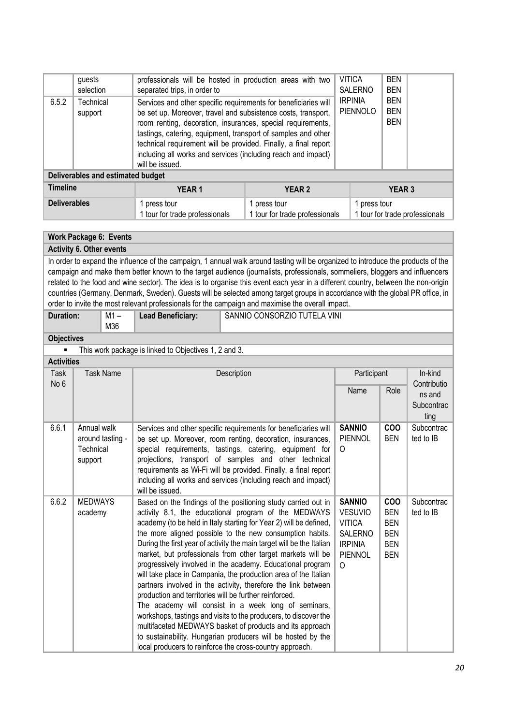|                                   | guests<br>selection  | professionals will be hosted in production areas with two<br>separated trips, in order to                                                                                                                                                                                                                                                                                                                               |                                                | <b>VITICA</b><br><b>SALERNO</b>        | <b>BEN</b><br><b>BEN</b>                       |  |  |
|-----------------------------------|----------------------|-------------------------------------------------------------------------------------------------------------------------------------------------------------------------------------------------------------------------------------------------------------------------------------------------------------------------------------------------------------------------------------------------------------------------|------------------------------------------------|----------------------------------------|------------------------------------------------|--|--|
| 6.5.2                             | Technical<br>support | Services and other specific requirements for beneficiaries will<br>be set up. Moreover, travel and subsistence costs, transport,<br>room renting, decoration, insurances, special requirements,<br>tastings, catering, equipment, transport of samples and other<br>technical requirement will be provided. Finally, a final report<br>including all works and services (including reach and impact)<br>will be issued. | <b>IRPINIA</b><br><b>PIENNOLO</b>              | <b>BEN</b><br><b>BEN</b><br><b>BEN</b> |                                                |  |  |
| Deliverables and estimated budget |                      |                                                                                                                                                                                                                                                                                                                                                                                                                         |                                                |                                        |                                                |  |  |
| Timeline                          |                      | <b>YEAR1</b>                                                                                                                                                                                                                                                                                                                                                                                                            | <b>YEAR 2</b>                                  |                                        | <b>YEAR 3</b>                                  |  |  |
| <b>Deliverables</b>               |                      | 1 press tour<br>1 tour for trade professionals                                                                                                                                                                                                                                                                                                                                                                          | 1 press tour<br>1 tour for trade professionals |                                        | 1 press tour<br>1 tour for trade professionals |  |  |

### **Work Package 6: Events**

**Activity 6. Other events** 

In order to expand the influence of the campaign, 1 annual walk around tasting will be organized to introduce the products of the campaign and make them better known to the target audience (journalists, professionals, sommeliers, bloggers and influencers related to the food and wine sector). The idea is to organise this event each year in a different country, between the non-origin countries (Germany, Denmark, Sweden). Guests will be selected among target groups in accordance with the global PR office, in order to invite the most relevant professionals for the campaign and maximise the overall impact.

| Duration: | M1 – | <b>Lead Beneficiary:</b> | SANNIO CONSORZIO TUTELA VINI |
|-----------|------|--------------------------|------------------------------|
|           | M36  |                          |                              |

### **Objectives**

■ This work package is linked to Objectives 1, 2 and 3. **Activities** 

| ACTIVITIES          |                                                         |                                                                                                                                                                                                                                                                                                                                                                                                                                                                                                                                                                                                                                                                                                                                                                                                                                                                                                                                                                                 |                                                                                                                    |                                                                                  |                         |
|---------------------|---------------------------------------------------------|---------------------------------------------------------------------------------------------------------------------------------------------------------------------------------------------------------------------------------------------------------------------------------------------------------------------------------------------------------------------------------------------------------------------------------------------------------------------------------------------------------------------------------------------------------------------------------------------------------------------------------------------------------------------------------------------------------------------------------------------------------------------------------------------------------------------------------------------------------------------------------------------------------------------------------------------------------------------------------|--------------------------------------------------------------------------------------------------------------------|----------------------------------------------------------------------------------|-------------------------|
| <b>Task</b><br>No 6 | <b>Task Name</b>                                        | Description                                                                                                                                                                                                                                                                                                                                                                                                                                                                                                                                                                                                                                                                                                                                                                                                                                                                                                                                                                     | Participant                                                                                                        | In-kind<br>Contributio                                                           |                         |
|                     |                                                         |                                                                                                                                                                                                                                                                                                                                                                                                                                                                                                                                                                                                                                                                                                                                                                                                                                                                                                                                                                                 | Name                                                                                                               | Role                                                                             | ns and                  |
|                     |                                                         |                                                                                                                                                                                                                                                                                                                                                                                                                                                                                                                                                                                                                                                                                                                                                                                                                                                                                                                                                                                 |                                                                                                                    |                                                                                  | Subcontrac              |
|                     |                                                         |                                                                                                                                                                                                                                                                                                                                                                                                                                                                                                                                                                                                                                                                                                                                                                                                                                                                                                                                                                                 |                                                                                                                    |                                                                                  | ting                    |
| 6.6.1               | Annual walk<br>around tasting -<br>Technical<br>support | Services and other specific requirements for beneficiaries will<br>be set up. Moreover, room renting, decoration, insurances,<br>special requirements, tastings, catering, equipment for<br>projections, transport of samples and other technical<br>requirements as Wi-Fi will be provided. Finally, a final report<br>including all works and services (including reach and impact)<br>will be issued.                                                                                                                                                                                                                                                                                                                                                                                                                                                                                                                                                                        | <b>SANNIO</b><br>PIENNOL<br>$\Omega$                                                                               | <b>COO</b><br><b>BEN</b>                                                         | Subcontrac<br>ted to IB |
| 6.6.2               | <b>MEDWAYS</b><br>academy                               | Based on the findings of the positioning study carried out in<br>activity 8.1, the educational program of the MEDWAYS<br>academy (to be held in Italy starting for Year 2) will be defined,<br>the more aligned possible to the new consumption habits.<br>During the first year of activity the main target will be the Italian<br>market, but professionals from other target markets will be<br>progressively involved in the academy. Educational program<br>will take place in Campania, the production area of the Italian<br>partners involved in the activity, therefore the link between<br>production and territories will be further reinforced.<br>The academy will consist in a week long of seminars,<br>workshops, tastings and visits to the producers, to discover the<br>multifaceted MEDWAYS basket of products and its approach<br>to sustainability. Hungarian producers will be hosted by the<br>local producers to reinforce the cross-country approach. | <b>SANNIO</b><br><b>VESUVIO</b><br><b>VITICA</b><br><b>SALERNO</b><br><b>IRPINIA</b><br><b>PIENNOL</b><br>$\Omega$ | <b>COO</b><br><b>BEN</b><br><b>BEN</b><br><b>BEN</b><br><b>BEN</b><br><b>BEN</b> | Subcontrac<br>ted to IB |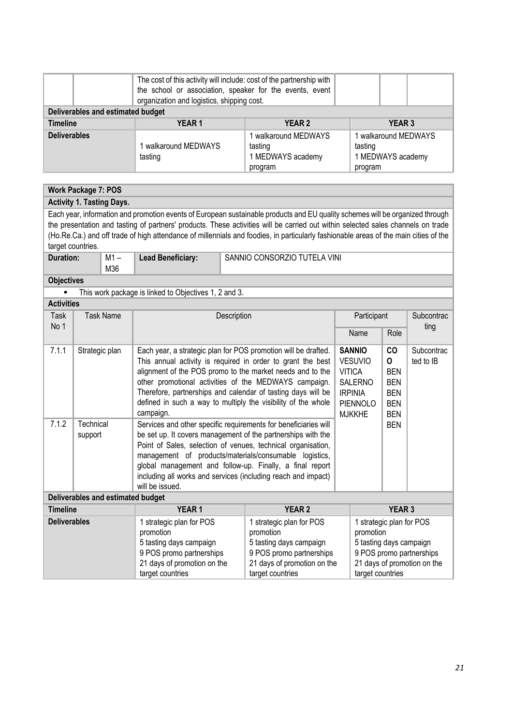|                                                                                                                                                                                                                                                                                                                                                                                                                                |                            |                                   | The cost of this activity will include: cost of the partnership with<br>the school or association, speaker for the events, event<br>organization and logistics, shipping cost.                                                                                                                                                                                                                                          |                                                                                                                                                 |                                                                                                                                                                                                                                                                                                                                                                                      |                                                                                                                                                                                                    |                                                                                                                                                 |               |                         |
|--------------------------------------------------------------------------------------------------------------------------------------------------------------------------------------------------------------------------------------------------------------------------------------------------------------------------------------------------------------------------------------------------------------------------------|----------------------------|-----------------------------------|-------------------------------------------------------------------------------------------------------------------------------------------------------------------------------------------------------------------------------------------------------------------------------------------------------------------------------------------------------------------------------------------------------------------------|-------------------------------------------------------------------------------------------------------------------------------------------------|--------------------------------------------------------------------------------------------------------------------------------------------------------------------------------------------------------------------------------------------------------------------------------------------------------------------------------------------------------------------------------------|----------------------------------------------------------------------------------------------------------------------------------------------------------------------------------------------------|-------------------------------------------------------------------------------------------------------------------------------------------------|---------------|-------------------------|
|                                                                                                                                                                                                                                                                                                                                                                                                                                |                            | Deliverables and estimated budget |                                                                                                                                                                                                                                                                                                                                                                                                                         |                                                                                                                                                 |                                                                                                                                                                                                                                                                                                                                                                                      |                                                                                                                                                                                                    |                                                                                                                                                 |               |                         |
| <b>Timeline</b>                                                                                                                                                                                                                                                                                                                                                                                                                |                            |                                   | <b>YEAR1</b>                                                                                                                                                                                                                                                                                                                                                                                                            |                                                                                                                                                 | <b>YEAR 2</b>                                                                                                                                                                                                                                                                                                                                                                        |                                                                                                                                                                                                    |                                                                                                                                                 | <b>YEAR 3</b> |                         |
| <b>Deliverables</b>                                                                                                                                                                                                                                                                                                                                                                                                            |                            |                                   | 1 walkaround MEDWAYS<br>tasting                                                                                                                                                                                                                                                                                                                                                                                         | 1 walkaround MEDWAYS<br>tasting<br>1 MEDWAYS academy<br>program                                                                                 |                                                                                                                                                                                                                                                                                                                                                                                      |                                                                                                                                                                                                    | 1 walkaround MEDWAYS<br>tasting<br>1 MEDWAYS academy<br>program                                                                                 |               |                         |
|                                                                                                                                                                                                                                                                                                                                                                                                                                |                            |                                   |                                                                                                                                                                                                                                                                                                                                                                                                                         |                                                                                                                                                 |                                                                                                                                                                                                                                                                                                                                                                                      |                                                                                                                                                                                                    |                                                                                                                                                 |               |                         |
|                                                                                                                                                                                                                                                                                                                                                                                                                                | <b>Work Package 7: POS</b> |                                   |                                                                                                                                                                                                                                                                                                                                                                                                                         |                                                                                                                                                 |                                                                                                                                                                                                                                                                                                                                                                                      |                                                                                                                                                                                                    |                                                                                                                                                 |               |                         |
|                                                                                                                                                                                                                                                                                                                                                                                                                                |                            | <b>Activity 1. Tasting Days.</b>  |                                                                                                                                                                                                                                                                                                                                                                                                                         |                                                                                                                                                 |                                                                                                                                                                                                                                                                                                                                                                                      |                                                                                                                                                                                                    |                                                                                                                                                 |               |                         |
| Each year, information and promotion events of European sustainable products and EU quality schemes will be organized through<br>the presentation and tasting of partners' products. These activities will be carried out within selected sales channels on trade<br>(Ho.Re.Ca.) and off trade of high attendance of millennials and foodies, in particularly fashionable areas of the main cities of the<br>target countries. |                            |                                   |                                                                                                                                                                                                                                                                                                                                                                                                                         |                                                                                                                                                 |                                                                                                                                                                                                                                                                                                                                                                                      |                                                                                                                                                                                                    |                                                                                                                                                 |               |                         |
| <b>Duration:</b>                                                                                                                                                                                                                                                                                                                                                                                                               |                            | $M1 -$<br>M36                     | <b>Lead Beneficiary:</b>                                                                                                                                                                                                                                                                                                                                                                                                |                                                                                                                                                 | SANNIO CONSORZIO TUTELA VINI                                                                                                                                                                                                                                                                                                                                                         |                                                                                                                                                                                                    |                                                                                                                                                 |               |                         |
| <b>Objectives</b>                                                                                                                                                                                                                                                                                                                                                                                                              |                            |                                   |                                                                                                                                                                                                                                                                                                                                                                                                                         |                                                                                                                                                 |                                                                                                                                                                                                                                                                                                                                                                                      |                                                                                                                                                                                                    |                                                                                                                                                 |               |                         |
| This work package is linked to Objectives 1, 2 and 3.                                                                                                                                                                                                                                                                                                                                                                          |                            |                                   |                                                                                                                                                                                                                                                                                                                                                                                                                         |                                                                                                                                                 |                                                                                                                                                                                                                                                                                                                                                                                      |                                                                                                                                                                                                    |                                                                                                                                                 |               |                         |
| <b>Activities</b>                                                                                                                                                                                                                                                                                                                                                                                                              |                            |                                   |                                                                                                                                                                                                                                                                                                                                                                                                                         |                                                                                                                                                 |                                                                                                                                                                                                                                                                                                                                                                                      |                                                                                                                                                                                                    |                                                                                                                                                 |               |                         |
| <b>Task Name</b><br>Task                                                                                                                                                                                                                                                                                                                                                                                                       |                            |                                   | Description                                                                                                                                                                                                                                                                                                                                                                                                             |                                                                                                                                                 |                                                                                                                                                                                                                                                                                                                                                                                      | Participant                                                                                                                                                                                        |                                                                                                                                                 |               | Subcontrac              |
| No 1                                                                                                                                                                                                                                                                                                                                                                                                                           |                            |                                   |                                                                                                                                                                                                                                                                                                                                                                                                                         |                                                                                                                                                 |                                                                                                                                                                                                                                                                                                                                                                                      |                                                                                                                                                                                                    | Name                                                                                                                                            | Role          | ting                    |
| 7.1.1                                                                                                                                                                                                                                                                                                                                                                                                                          |                            | Strategic plan                    | campaign.                                                                                                                                                                                                                                                                                                                                                                                                               |                                                                                                                                                 | Each year, a strategic plan for POS promotion will be drafted.<br>This annual activity is required in order to grant the best<br>alignment of the POS promo to the market needs and to the<br>other promotional activities of the MEDWAYS campaign.<br>Therefore, partnerships and calendar of tasting days will be<br>defined in such a way to multiply the visibility of the whole | <b>SANNIO</b><br>CO<br><b>VESUVIO</b><br>0<br><b>VITICA</b><br><b>BEN</b><br><b>SALERNO</b><br><b>BEN</b><br><b>IRPINIA</b><br><b>BEN</b><br>PIENNOLO<br><b>BEN</b><br><b>MJKKHE</b><br><b>BEN</b> |                                                                                                                                                 |               | Subcontrac<br>ted to IB |
| 7.1.2                                                                                                                                                                                                                                                                                                                                                                                                                          | Technical<br>support       |                                   | Services and other specific requirements for beneficiaries will<br><b>BEN</b><br>be set up. It covers management of the partnerships with the<br>Point of Sales, selection of venues, technical organisation,<br>management of products/materials/consumable logistics,<br>global management and follow-up. Finally, a final report<br>including all works and services (including reach and impact)<br>will be issued. |                                                                                                                                                 |                                                                                                                                                                                                                                                                                                                                                                                      |                                                                                                                                                                                                    |                                                                                                                                                 |               |                         |
|                                                                                                                                                                                                                                                                                                                                                                                                                                |                            | Deliverables and estimated budget |                                                                                                                                                                                                                                                                                                                                                                                                                         |                                                                                                                                                 |                                                                                                                                                                                                                                                                                                                                                                                      |                                                                                                                                                                                                    |                                                                                                                                                 |               |                         |
| <b>Timeline</b>                                                                                                                                                                                                                                                                                                                                                                                                                |                            |                                   | YEAR <sub>1</sub>                                                                                                                                                                                                                                                                                                                                                                                                       |                                                                                                                                                 | <b>YEAR 2</b>                                                                                                                                                                                                                                                                                                                                                                        |                                                                                                                                                                                                    |                                                                                                                                                 | YEAR 3        |                         |
| <b>Deliverables</b>                                                                                                                                                                                                                                                                                                                                                                                                            |                            |                                   | 1 strategic plan for POS<br>promotion<br>5 tasting days campaign<br>9 POS promo partnerships<br>21 days of promotion on the<br>target countries                                                                                                                                                                                                                                                                         | 1 strategic plan for POS<br>promotion<br>5 tasting days campaign<br>9 POS promo partnerships<br>21 days of promotion on the<br>target countries |                                                                                                                                                                                                                                                                                                                                                                                      |                                                                                                                                                                                                    | 1 strategic plan for POS<br>promotion<br>5 tasting days campaign<br>9 POS promo partnerships<br>21 days of promotion on the<br>target countries |               |                         |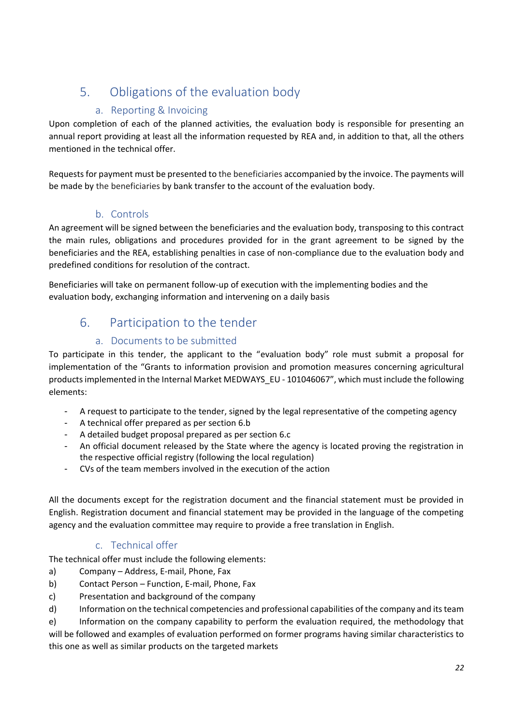# 5. Obligations of the evaluation body

# a. Reporting & Invoicing

Upon completion of each of the planned activities, the evaluation body is responsible for presenting an annual report providing at least all the information requested by REA and, in addition to that, all the others mentioned in the technical offer.

Requests for payment must be presented to the beneficiaries accompanied by the invoice. The payments will be made by the beneficiaries by bank transfer to the account of the evaluation body.

# b. Controls

An agreement will be signed between the beneficiaries and the evaluation body, transposing to this contract the main rules, obligations and procedures provided for in the grant agreement to be signed by the beneficiaries and the REA, establishing penalties in case of non-compliance due to the evaluation body and predefined conditions for resolution of the contract.

Beneficiaries will take on permanent follow-up of execution with the implementing bodies and the evaluation body, exchanging information and intervening on a daily basis

# 6. Participation to the tender

# a. Documents to be submitted

To participate in this tender, the applicant to the "evaluation body" role must submit a proposal for implementation of the "Grants to information provision and promotion measures concerning agricultural products implemented in the Internal Market MEDWAYS\_EU - 101046067", which must include the following elements:

- A request to participate to the tender, signed by the legal representative of the competing agency
- A technical offer prepared as per section 6.b
- A detailed budget proposal prepared as per section 6.c
- An official document released by the State where the agency is located proving the registration in the respective official registry (following the local regulation)
- CVs of the team members involved in the execution of the action

All the documents except for the registration document and the financial statement must be provided in English. Registration document and financial statement may be provided in the language of the competing agency and the evaluation committee may require to provide a free translation in English.

# c. Technical offer

The technical offer must include the following elements:

- a) Company Address, E-mail, Phone, Fax
- b) Contact Person Function, E-mail, Phone, Fax
- c) Presentation and background of the company
- d) Information on the technical competencies and professional capabilities of the company and its team

e) Information on the company capability to perform the evaluation required, the methodology that will be followed and examples of evaluation performed on former programs having similar characteristics to this one as well as similar products on the targeted markets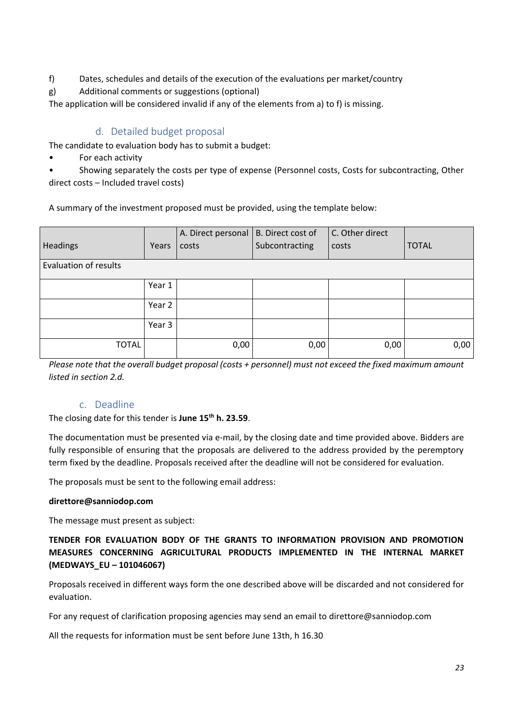- f) Dates, schedules and details of the execution of the evaluations per market/country
- g) Additional comments or suggestions (optional)

The application will be considered invalid if any of the elements from a) to f) is missing.

# d. Detailed budget proposal

The candidate to evaluation body has to submit a budget:

• For each activity

• Showing separately the costs per type of expense (Personnel costs, Costs for subcontracting, Other direct costs – Included travel costs)

A summary of the investment proposed must be provided, using the template below:

| <b>Headings</b>              | Years  | A. Direct personal   B. Direct cost of<br>costs | Subcontracting | C. Other direct<br>costs | <b>TOTAL</b> |
|------------------------------|--------|-------------------------------------------------|----------------|--------------------------|--------------|
| <b>Evaluation of results</b> |        |                                                 |                |                          |              |
|                              | Year 1 |                                                 |                |                          |              |
|                              | Year 2 |                                                 |                |                          |              |
|                              | Year 3 |                                                 |                |                          |              |
| <b>TOTAL</b>                 |        | 0,00                                            | 0,00           | 0,00                     | 0,00         |

*Please note that the overall budget proposal (costs + personnel) must not exceed the fixed maximum amount listed in section 2.d.*

# c. Deadline

The closing date for this tender is **June 15th h. 23.59**.

The documentation must be presented via e-mail, by the closing date and time provided above. Bidders are fully responsible of ensuring that the proposals are delivered to the address provided by the peremptory term fixed by the deadline. Proposals received after the deadline will not be considered for evaluation.

The proposals must be sent to the following email address:

## **direttore@sanniodop.com**

The message must present as subject:

**TENDER FOR EVALUATION BODY OF THE GRANTS TO INFORMATION PROVISION AND PROMOTION MEASURES CONCERNING AGRICULTURAL PRODUCTS IMPLEMENTED IN THE INTERNAL MARKET (MEDWAYS\_EU – 101046067)**

Proposals received in different ways form the one described above will be discarded and not considered for evaluation.

For any request of clarification proposing agencies may send an email to direttore@sanniodop.com

All the requests for information must be sent before June 13th, h 16.30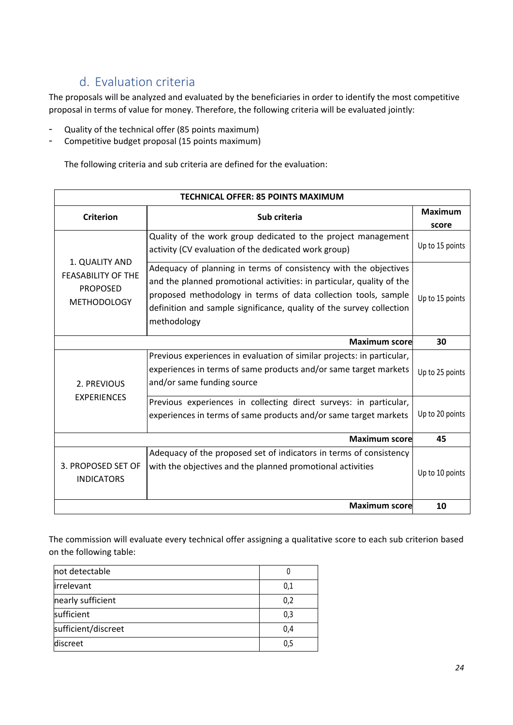# d. Evaluation criteria

The proposals will be analyzed and evaluated by the beneficiaries in order to identify the most competitive proposal in terms of value for money. Therefore, the following criteria will be evaluated jointly:

- Quality of the technical offer (85 points maximum)
- Competitive budget proposal (15 points maximum)

The following criteria and sub criteria are defined for the evaluation:

| <b>TECHNICAL OFFER: 85 POINTS MAXIMUM</b>                                            |                                                                                                                                                                                                                                                                                                    |                 |  |  |
|--------------------------------------------------------------------------------------|----------------------------------------------------------------------------------------------------------------------------------------------------------------------------------------------------------------------------------------------------------------------------------------------------|-----------------|--|--|
| <b>Criterion</b>                                                                     | Sub criteria                                                                                                                                                                                                                                                                                       | <b>Maximum</b>  |  |  |
|                                                                                      |                                                                                                                                                                                                                                                                                                    | score           |  |  |
| 1. QUALITY AND<br><b>FEASABILITY OF THE</b><br><b>PROPOSED</b><br><b>METHODOLOGY</b> | Quality of the work group dedicated to the project management<br>activity (CV evaluation of the dedicated work group)                                                                                                                                                                              | Up to 15 points |  |  |
|                                                                                      | Adequacy of planning in terms of consistency with the objectives<br>and the planned promotional activities: in particular, quality of the<br>proposed methodology in terms of data collection tools, sample<br>definition and sample significance, quality of the survey collection<br>methodology | Up to 15 points |  |  |
|                                                                                      | <b>Maximum score</b>                                                                                                                                                                                                                                                                               | 30              |  |  |
| 2. PREVIOUS<br><b>EXPERIENCES</b>                                                    | Previous experiences in evaluation of similar projects: in particular,<br>experiences in terms of same products and/or same target markets<br>and/or same funding source                                                                                                                           | Up to 25 points |  |  |
|                                                                                      | Previous experiences in collecting direct surveys: in particular,<br>experiences in terms of same products and/or same target markets                                                                                                                                                              | Up to 20 points |  |  |
|                                                                                      | <b>Maximum score</b>                                                                                                                                                                                                                                                                               | 45              |  |  |
| 3. PROPOSED SET OF<br><b>INDICATORS</b>                                              | Adequacy of the proposed set of indicators in terms of consistency<br>with the objectives and the planned promotional activities                                                                                                                                                                   | Up to 10 points |  |  |
|                                                                                      | <b>Maximum score</b>                                                                                                                                                                                                                                                                               | 10              |  |  |

The commission will evaluate every technical offer assigning a qualitative score to each sub criterion based on the following table:

| not detectable      |     |
|---------------------|-----|
| irrelevant          | 0,1 |
| nearly sufficient   | 0,2 |
| sufficient          | 0,3 |
| sufficient/discreet | 0,4 |
| discreet            |     |